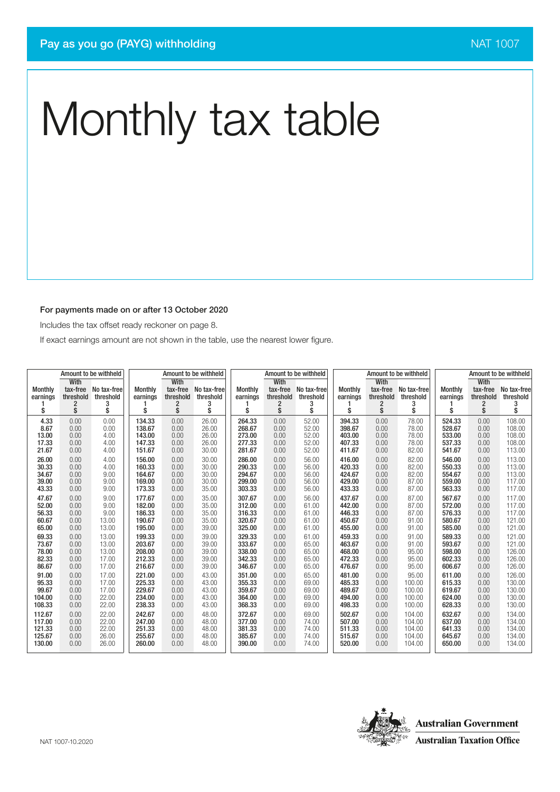#### For payments made on or after 13 October 2020

Includes the tax offset ready reckoner on page 8.

If exact earnings amount are not shown in the table, use the nearest lower figure.

|                     | Amount to be withheld                    |                                |                           | Amount to be withheld               |                                     |                                  | Amount to be withheld                           |                                     |                           |                                          | Amount to be withheld               | Amount to be withheld           |                                          |                                |  |
|---------------------|------------------------------------------|--------------------------------|---------------------------|-------------------------------------|-------------------------------------|----------------------------------|-------------------------------------------------|-------------------------------------|---------------------------|------------------------------------------|-------------------------------------|---------------------------------|------------------------------------------|--------------------------------|--|
| Monthly<br>earnings | With<br>tax-free<br>threshold<br>2<br>\$ | No tax-free<br>threshold<br>\$ | Monthly<br>earnings<br>\$ | With<br>tax-free<br>threshold<br>\$ | No tax-free<br>threshold<br>3<br>\$ | <b>Monthly</b><br>earnings<br>\$ | <b>With</b><br>tax-free<br>threshold<br>2<br>\$ | No tax-free<br>threshold<br>3<br>\$ | Monthly<br>earnings<br>\$ | With<br>tax-free<br>threshold<br>z<br>\$ | No tax-free<br>threshold<br>3<br>\$ | <b>Monthly</b><br>earnings<br>S | With<br>tax-free<br>threshold<br>2<br>\$ | No tax-free<br>threshold<br>\$ |  |
| 4.33                | 0.00                                     | 0.00                           | 134.33                    | 0.00                                | 26.00                               | 264.33                           | 0.00                                            | 52.00                               | 394.33                    | 0.00                                     | 78.00                               | 524.33                          | 0.00                                     | 108.00                         |  |
| 8.67                | 0.00                                     | 0.00                           | 138.67                    | 0.00                                | 26.00                               | 268.67                           | 0.00                                            | 52.00                               | 398.67                    | 0.00                                     | 78.00                               | 528.67                          | 0.00                                     | 108.00                         |  |
| 13.00               | 0.00                                     | 4.00                           | 143.00                    | 0.00                                | 26.00                               | 273.00                           | 0.00                                            | 52.00                               | 403.00                    | 0.00                                     | 78.00                               | 533.00                          | 0.00                                     | 108.00                         |  |
| 17.33               | 0.00                                     | 4.00                           | 147.33                    | 0.00                                | 26.00                               | 277.33                           | 0.00                                            | 52.00                               | 407.33                    | 0.00                                     | 78.00                               | 537.33                          | 0.00                                     | 108.00                         |  |
| 21.67               | 0.00                                     | 4.00                           | 151.67                    | 0.00                                | 30.00                               | 281.67                           | 0.00                                            | 52.00                               | 411.67                    | 0.00                                     | 82.00                               | 541.67                          | 0.00                                     | 113.00                         |  |
| 26.00               | 0.00                                     | 4.00                           | 156.00                    | 0.00                                | 30.00                               | 286.00                           | 0.00                                            | 56.00                               | 416.00                    | 0.00                                     | 82.00                               | 546.00                          | 0.00                                     | 113.00                         |  |
| 30.33               | 0.00                                     | 4.00                           | 160.33                    | 0.00                                | 30.00                               | 290.33                           | 0.00                                            | 56.00                               | 420.33                    | 0.00                                     | 82.00                               | 550.33                          | 0.00                                     | 113.00                         |  |
| 34.67               | 0.00                                     | 9.00                           | 164.67                    | 0.00                                | 30.00                               | 294.67                           | 0.00                                            | 56.00                               | 424.67                    | 0.00                                     | 82.00                               | 554.67                          | 0.00                                     | 113.00                         |  |
| 39.00               | 0.00                                     | 9.00                           | 169.00                    | 0.00                                | 30.00                               | 299.00                           | 0.00                                            | 56.00                               | 429.00                    | 0.00                                     | 87.00                               | 559.00                          | 0.00                                     | 117.00                         |  |
| 43.33               | 0.00                                     | 9.00                           | 173.33                    | 0.00                                | 35.00                               | 303.33                           | 0.00                                            | 56.00                               | 433.33                    | 0.00                                     | 87.00                               | 563.33                          | 0.00                                     | 117.00                         |  |
| 47.67               | 0.00                                     | 9.00                           | 177.67                    | 0.00                                | 35.00                               | 307.67                           | 0.00                                            | 56.00                               | 437.67                    | 0.00                                     | 87.00                               | 567.67                          | 0.00                                     | 117.00                         |  |
| 52.00               | 0.00                                     | 9.00                           | 182.00                    | 0.00                                | 35.00                               | 312.00                           | 0.00                                            | 61.00                               | 442.00                    | 0.00                                     | 87.00                               | 572.00                          | 0.00                                     | 117.00                         |  |
| 56.33               | 0.00                                     | 9.00                           | 186.33                    | 0.00                                | 35.00                               | 316.33                           | 0.00                                            | 61.00                               | 446.33                    | 0.00                                     | 87.00                               | 576.33                          | 0.00                                     | 117.00                         |  |
| 60.67               | 0.00                                     | 13.00                          | 190.67                    | 0.00                                | 35.00                               | 320.67                           | 0.00                                            | 61.00                               | 450.67                    | 0.00                                     | 91.00                               | 580.67                          | 0.00                                     | 121.00                         |  |
| 65.00               | 0.00                                     | 13.00                          | 195.00                    | 0.00                                | 39.00                               | 325.00                           | 0.00                                            | 61.00                               | 455.00                    | 0.00                                     | 91.00                               | 585.00                          | 0.00                                     | 121.00                         |  |
| 69.33               | 0.00                                     | 13.00                          | 199.33                    | 0.00                                | 39.00                               | 329.33                           | 0.00                                            | 61.00                               | 459.33                    | 0.00                                     | 91.00                               | 589.33                          | 0.00                                     | 121.00                         |  |
| 73.67               | 0.00                                     | 13.00                          | 203.67                    | 0.00                                | 39.00                               | 333.67                           | 0.00                                            | 65.00                               | 463.67                    | 0.00                                     | 91.00                               | 593.67                          | 0.00                                     | 121.00                         |  |
| 78.00               | 0.00                                     | 13.00                          | 208.00                    | 0.00                                | 39.00                               | 338.00                           | 0.00                                            | 65.00                               | 468.00                    | 0.00                                     | 95.00                               | 598.00                          | 0.00                                     | 126.00                         |  |
| 82.33               | 0.00                                     | 17.00                          | 212.33                    | 0.00                                | 39.00                               | 342.33                           | 0.00                                            | 65.00                               | 472.33                    | 0.00                                     | 95.00                               | 602.33                          | 0.00                                     | 126.00                         |  |
| 86.67               | 0.00                                     | 17.00                          | 216.67                    | 0.00                                | 39.00                               | 346.67                           | 0.00                                            | 65.00                               | 476.67                    | 0.00                                     | 95.00                               | 606.67                          | 0.00                                     | 126.00                         |  |
| 91.00               | 0.00                                     | 17.00                          | 221.00                    | 0.00                                | 43.00                               | 351.00                           | 0.00                                            | 65.00                               | 481.00                    | 0.00                                     | 95.00                               | 611.00                          | 0.00                                     | 126.00                         |  |
| 95.33               | 0.00                                     | 17.00                          | 225.33                    | 0.00                                | 43.00                               | 355.33                           | 0.00                                            | 69.00                               | 485.33                    | 0.00                                     | 100.00                              | 615.33                          | 0.00                                     | 130.00                         |  |
| 99.67               | 0.00                                     | 17.00                          | 229.67                    | 0.00                                | 43.00                               | 359.67                           | 0.00                                            | 69.00                               | 489.67                    | 0.00                                     | 100.00                              | 619.67                          | 0.00                                     | 130.00                         |  |
| 104.00              | 0.00                                     | 22.00                          | 234.00                    | 0.00                                | 43.00                               | 364.00                           | 0.00                                            | 69.00                               | 494.00                    | 0.00                                     | 100.00                              | 624.00                          | 0.00                                     | 130.00                         |  |
| 108.33              | 0.00                                     | 22.00                          | 238.33                    | 0.00                                | 43.00                               | 368.33                           | 0.00                                            | 69.00                               | 498.33                    | 0.00                                     | 100.00                              | 628.33                          | 0.00                                     | 130.00                         |  |
| 112.67              | 0.00                                     | 22.00                          | 242.67                    | 0.00                                | 48.00                               | 372.67                           | 0.00                                            | 69.00                               | 502.67                    | 0.00                                     | 104.00                              | 632.67                          | 0.00                                     | 134.00                         |  |
| 117.00              | 0.00                                     | 22.00                          | 247.00                    | 0.00                                | 48.00                               | 377.00                           | 0.00                                            | 74.00                               | 507.00                    | 0.00                                     | 104.00                              | 637.00                          | 0.00                                     | 134.00                         |  |
| 121.33              | 0.00                                     | 22.00                          | 251.33                    | 0.00                                | 48.00                               | 381.33                           | 0.00                                            | 74.00                               | 511.33                    | 0.00                                     | 104.00                              | 641.33                          | 0.00                                     | 134.00                         |  |
| 125.67              | 0.00                                     | 26.00                          | 255.67                    | 0.00                                | 48.00                               | 385.67                           | 0.00                                            | 74.00                               | 515.67                    | 0.00                                     | 104.00                              | 645.67                          | 0.00                                     | 134.00                         |  |
| 130.00              | 0.00                                     | 26.00                          | 260.00                    | 0.00                                | 48.00                               | 390.00                           | 0.00                                            | 74.00                               | 520.00                    | 0.00                                     | 104.00                              | 650.00                          | 0.00                                     | 134.00                         |  |

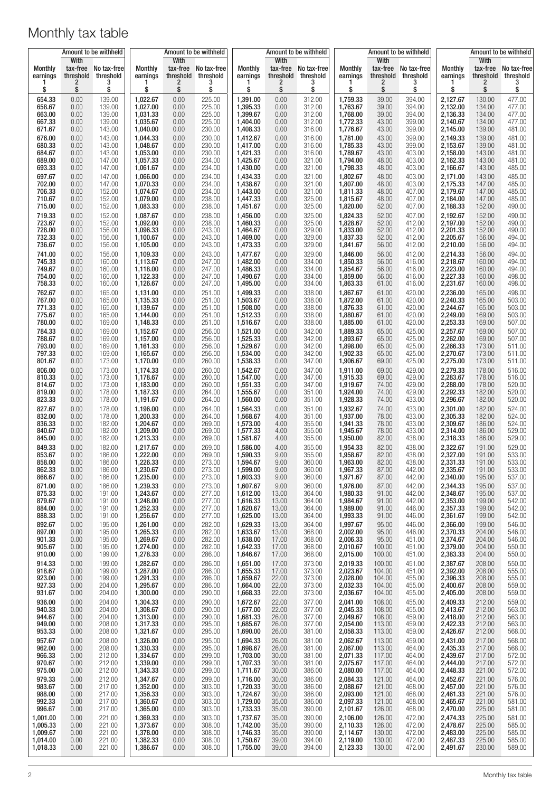| Amount to be withheld<br>With |                | Amount to be withheld<br>With |                      |                | Amount to be withheld<br>With |                      |                |                  | With                 | Amount to be withheld | Amount to be withheld<br>With |                      |                  |                      |
|-------------------------------|----------------|-------------------------------|----------------------|----------------|-------------------------------|----------------------|----------------|------------------|----------------------|-----------------------|-------------------------------|----------------------|------------------|----------------------|
| <b>Monthly</b>                | tax-free       | No tax-free                   | Monthly              |                | tax-free No tax-free          | Monthly              | tax-free       | No tax-free      | Monthly              |                       | tax-free No tax-free          | Monthly              |                  | tax-free No tax-free |
| earnings                      | threshold<br>2 | threshold<br>3                | earnings<br>ı        | threshold<br>2 | threshold<br>3                | earnings<br>в        | threshold<br>2 | threshold<br>з   | earnings             | threshold<br>2        | threshold<br>3                | earnings             | threshold<br>2   | threshold<br>з       |
| \$                            | \$             | \$                            | \$                   | \$             | \$                            | \$                   | \$             | \$               | \$                   | \$                    | \$                            | \$                   | \$               | \$                   |
| 654.33<br>658.67              | 0.00<br>0.00   | 139.00<br>139.00              | 1,022.67<br>1,027.00 | 0.00<br>0.00   | 225.00<br>225.00              | 1,391.00<br>1,395.33 | 0.00<br>0.00   | 312.00<br>312.00 | 1,759.33<br>1,763.67 | 39.00<br>39.00        | 394.00<br>394.00              | 2,127.67<br>2,132.00 | 130.00<br>134.00 | 477.00<br>477.00     |
| 663.00                        | 0.00           | 139.00                        | 1,031.33             | 0.00           | 225.00                        | 1,399.67             | 0.00           | 312.00           | 1,768.00             | 39.00                 | 394.00                        | 2,136.33             | 134.00           | 477.00               |
| 667.33<br>671.67              | 0.00<br>0.00   | 139.00<br>143.00              | 1,035.67<br>1,040.00 | 0.00<br>0.00   | 225.00<br>230.00              | 1,404.00<br>1,408.33 | 0.00<br>0.00   | 312.00<br>316.00 | 1,772.33<br>1,776.67 | 43.00<br>43.00        | 399.00<br>399.00              | 2,140.67<br>2,145.00 | 134.00<br>139.00 | 477.00<br>481.00     |
| 676.00                        | 0.00           | 143.00                        | 1,044.33             | 0.00           | 230.00                        | 1,412.67             | 0.00           | 316.00           | 1,781.00             | 43.00                 | 399.00                        | 2,149.33             | 139.00           | 481.00               |
| 680.33<br>684.67              | 0.00<br>0.00   | 143.00<br>143.00              | 1,048.67<br>1,053.00 | 0.00<br>0.00   | 230.00<br>230.00              | 1,417.00<br>1,421.33 | 0.00<br>0.00   | 316.00<br>316.00 | 1,785.33<br>1,789.67 | 43.00<br>43.00        | 399.00<br>403.00              | 2,153.67<br>2,158.00 | 139.00<br>143.00 | 481.00<br>481.00     |
| 689.00                        | 0.00           | 147.00                        | 1,057.33             | 0.00           | 234.00                        | 1,425.67             | 0.00           | 321.00           | 1,794.00             | 48.00                 | 403.00                        | 2,162.33             | 143.00           | 481.00               |
| 693.33<br>697.67              | 0.00<br>0.00   | 147.00<br>147.00              | 1,061.67<br>1,066.00 | 0.00<br>0.00   | 234.00<br>234.00              | 1,430.00<br>1,434.33 | 0.00<br>0.00   | 321.00<br>321.00 | 1,798.33<br>1,802.67 | 48.00<br>48.00        | 403.00<br>403.00              | 2,166.67<br>2,171.00 | 143.00<br>143.00 | 485.00<br>485.00     |
| 702.00                        | 0.00           | 147.00                        | 1,070.33             | 0.00           | 234.00                        | 1,438.67             | 0.00           | 321.00           | 1,807.00             | 48.00                 | 403.00                        | 2,175.33             | 147.00           | 485.00               |
| 706.33<br>710.67              | 0.00<br>0.00   | 152.00<br>152.00              | 1,074.67<br>1,079.00 | 0.00<br>0.00   | 234.00<br>238.00              | 1,443.00<br>1,447.33 | 0.00<br>0.00   | 321.00<br>325.00 | 1,811.33<br>1,815.67 | 48.00<br>48.00        | 407.00<br>407.00              | 2,179.67<br>2,184.00 | 147.00<br>147.00 | 485.00<br>485.00     |
| 715.00                        | 0.00           | 152.00                        | 1,083.33             | 0.00           | 238.00                        | 1,451.67             | 0.00           | 325.00           | 1,820.00             | 52.00                 | 407.00                        | 2,188.33             | 152.00           | 490.00               |
| 719.33<br>723.67              | 0.00<br>0.00   | 152.00<br>152.00              | 1,087.67<br>1,092.00 | 0.00<br>0.00   | 238.00<br>238.00              | 1,456.00<br>1,460.33 | 0.00<br>0.00   | 325.00<br>325.00 | 1,824.33<br>1,828.67 | 52.00<br>52.00        | 407.00<br>412.00              | 2,192.67<br>2,197.00 | 152.00<br>152.00 | 490.00<br>490.00     |
| 728.00                        | 0.00           | 156.00                        | 1,096.33             | 0.00           | 243.00                        | 1,464.67             | 0.00           | 329.00           | 1,833.00             | 52.00                 | 412.00                        | 2,201.33             | 152.00           | 490.00               |
| 732.33<br>736.67              | 0.00<br>0.00   | 156.00<br>156.00              | 1,100.67<br>1,105.00 | 0.00<br>0.00   | 243.00<br>243.00              | 1,469.00<br>1,473.33 | 0.00<br>0.00   | 329.00<br>329.00 | 1,837.33<br>1,841.67 | 52.00<br>56.00        | 412.00<br>412.00              | 2,205.67<br>2,210.00 | 156.00<br>156.00 | 494.00<br>494.00     |
| 741.00                        | 0.00           | 156.00                        | 1,109.33             | 0.00           | 243.00                        | 1,477.67             | 0.00           | 329.00           | 1,846.00             | 56.00                 | 412.00                        | 2,214.33             | 156.00           | 494.00               |
| 745.33<br>749.67              | 0.00<br>0.00   | 160.00<br>160.00              | 1.113.67<br>1,118.00 | 0.00<br>0.00   | 247.00<br>247.00              | 1,482.00<br>1,486.33 | 0.00<br>0.00   | 334.00<br>334.00 | 1,850.33<br>1,854.67 | 56.00<br>56.00        | 416.00<br>416.00              | 2,218.67<br>2,223.00 | 160.00<br>160.00 | 494.00<br>494.00     |
| 754.00<br>758.33              | 0.00<br>0.00   | 160.00<br>160.00              | 1,122.33<br>1,126.67 | 0.00<br>0.00   | 247.00<br>247.00              | 1,490.67<br>1,495.00 | 0.00<br>0.00   | 334.00<br>334.00 | 1,859.00<br>1,863.33 | 56.00<br>61.00        | 416.00<br>416.00              | 2,227.33<br>2,231.67 | 160.00<br>160.00 | 498.00<br>498.00     |
| 762.67                        | 0.00           | 165.00                        | 1,131.00             | 0.00           | 251.00                        | 1,499.33             | 0.00           | 338.00           | 1,867.67             | 61.00                 | 420.00                        | 2,236.00             | 165.00           | 498.00               |
| 767.00                        | 0.00           | 165.00                        | 1,135.33             | 0.00           | 251.00                        | 1,503.67             | 0.00           | 338.00           | 1,872.00             | 61.00                 | 420.00                        | 2,240.33<br>2.244.67 | 165.00           | 503.00               |
| 771.33<br>775.67              | 0.00<br>0.00   | 165.00<br>165.00              | 1,139.67<br>1,144.00 | 0.00<br>0.00   | 251.00<br>251.00              | 1,508.00<br>1,512.33 | 0.00<br>0.00   | 338.00<br>338.00 | 1,876.33<br>1,880.67 | 61.00<br>61.00        | 420.00<br>420.00              | 2,249.00             | 165.00<br>169.00 | 503.00<br>503.00     |
| 780.00                        | 0.00           | 169.00                        | 1,148.33             | 0.00           | 251.00                        | 1,516.67             | 0.00           | 338.00           | 1,885.00             | 61.00                 | 420.00                        | 2,253.33             | 169.00           | 507.00               |
| 784.33<br>788.67              | 0.00<br>0.00   | 169.00<br>169.00              | 1,152.67<br>1,157.00 | 0.00<br>0.00   | 256.00<br>256.00              | 1,521.00<br>1,525.33 | 0.00<br>0.00   | 342.00<br>342.00 | 1,889.33<br>1,893.67 | 65.00<br>65.00        | 425.00<br>425.00              | 2,257.67<br>2,262.00 | 169.00<br>169.00 | 507.00<br>507.00     |
| 793.00<br>797.33              | 0.00<br>0.00   | 169.00<br>169.00              | 1,161.33<br>1,165.67 | 0.00<br>0.00   | 256.00<br>256.00              | 1,529.67<br>1,534.00 | 0.00<br>0.00   | 342.00<br>342.00 | 1,898.00<br>1,902.33 | 65.00<br>65.00        | 425.00<br>425.00              | 2,266.33<br>2,270.67 | 173.00<br>173.00 | 511.00<br>511.00     |
| 801.67                        | 0.00           | 173.00                        | 1,170.00             | 0.00           | 260.00                        | 1,538.33             | 0.00           | 347.00           | 1,906.67             | 69.00                 | 425.00                        | 2,275.00             | 173.00           | 511.00               |
| 806.00<br>810.33              | 0.00<br>0.00   | 173.00<br>173.00              | 1,174.33<br>1,178.67 | 0.00<br>0.00   | 260.00<br>260.00              | 1,542.67<br>1,547.00 | 0.00<br>0.00   | 347.00<br>347.00 | 1,911.00<br>1,915.33 | 69.00<br>69.00        | 429.00<br>429.00              | 2,279.33<br>2,283.67 | 178.00<br>178.00 | 516.00<br>516.00     |
| 814.67                        | 0.00           | 173.00                        | 1,183.00             | 0.00           | 260.00                        | 1,551.33             | 0.00           | 347.00           | 1,919.67             | 74.00                 | 429.00                        | 2,288.00             | 178.00           | 520.00               |
| 819.00<br>823.33              | 0.00<br>0.00   | 178.00<br>178.00              | 1,187.33<br>1,191.67 | 0.00<br>0.00   | 264.00<br>264.00              | 1,555.67<br>1,560.00 | 0.00<br>0.00   | 351.00<br>351.00 | 1,924.00<br>1,928.33 | 74.00<br>74.00        | 429.00<br>433.00              | 2,292.33<br>2,296.67 | 182.00<br>182.00 | 520.00<br>520.00     |
| 827.67                        | 0.00           | 178.00                        | 1,196.00             | 0.00           | 264.00                        | 1,564.33             | 0.00           | 351.00           | 1,932.67             | 74.00                 | 433.00                        | 2,301.00             | 182.00           | 524.00               |
| 832.00<br>836.33              | 0.00<br>0.00   | 178.00<br>182.00              | 1,200.33<br>1,204.67 | 0.00<br>0.00   | 264.00<br>269.00              | 1,568.67<br>1,573.00 | 4.00<br>4.00   | 351.00<br>355.00 | 1.937.00<br>1,941.33 | 78.00<br>78.00        | 433.00<br>433.00              | 2,305.33<br>2,309.67 | 182.00<br>186.00 | 524.00<br>524.00     |
| 840.67                        | 0.00           | 182.00                        | 1,209.00             | 0.00           | 269.00                        | 1,577.33             | 4.00           | 355.00           | 1,945.67             | 78.00                 | 433.00                        | 2,314.00             | 186.00           | 529.00               |
| 845.00<br>849.33              | 0.00<br>0.00   | 182.00<br>182.00              | 1,213.33<br>1,217.67 | 0.00<br>0.00   | 269.00<br>269.00              | 1,581.67<br>1.586.00 | 4.00<br>4.00   | 355.00<br>355.00 | 1,950.00<br>1,954.33 | 82.00<br>82.00        | 438.00<br>438.00              | 2,318.33<br>2,322.67 | 186.00<br>191.00 | 529.00<br>529.00     |
| 853.67                        | 0.00<br>0.00   | 186.00<br>186.00              | 1,222.00<br>1,226.33 | 0.00<br>0.00   | 269.00<br>273.00              | 1,590.33             | 9.00<br>9.00   | 355.00<br>360.00 | 1,958.67<br>1,963.00 | 82.00<br>82.00        | 438.00<br>438.00              | 2,327.00<br>2,331.33 | 191.00<br>191.00 | 533.00<br>533.00     |
| 858.00<br>862.33              | 0.00           | 186.00                        | 1,230.67             | 0.00           | 273.00                        | 1,594.67<br>1,599.00 | 9.00           | 360.00           | 1,967.33             | 87.00                 | 442.00                        | 2,335.67             | 191.00           | 533.00               |
| 866.67<br>871.00              | 0.00<br>0.00   | 186.00<br>186.00              | 1,235.00<br>1,239.33 | 0.00<br>0.00   | 273.00<br>273.00              | 1,603.33<br>1,607.67 | 9.00<br>9.00   | 360.00<br>360.00 | 1,971.67             | 87.00<br>87.00        | 442.00<br>442.00              | 2,340.00<br>2,344.33 | 195.00<br>195.00 | 537.00<br>537.00     |
| 875.33                        | 0.00           | 191.00                        | 1,243.67             | 0.00           | 277.00                        | 1,612.00             | 13.00          | 364.00           | 1,976.00<br>1,980.33 | 91.00                 | 442.00                        | 2,348.67             | 195.00           | 537.00               |
| 879.67<br>884.00              | 0.00<br>0.00   | 191.00<br>191.00              | 1,248.00<br>1,252.33 | 0.00<br>0.00   | 277.00<br>277.00              | 1,616.33<br>1,620.67 | 13.00<br>13.00 | 364.00<br>364.00 | 1,984.67<br>1,989.00 | 91.00<br>91.00        | 442.00<br>446.00              | 2,353.00<br>2,357.33 | 199.00<br>199.00 | 542.00<br>542.00     |
| 888.33                        | 0.00           | 191.00                        | 1,256.67             | 0.00           | 277.00                        | 1,625.00             | 13.00          | 364.00           | 1,993.33             | 91.00                 | 446.00                        | 2,361.67             | 199.00           | 542.00               |
| 892.67<br>897.00              | 0.00<br>0.00   | 195.00<br>195.00              | 1,261.00<br>1,265.33 | 0.00<br>0.00   | 282.00<br>282.00              | 1,629.33<br>1,633.67 | 13.00<br>13.00 | 364.00<br>368.00 | 1,997.67<br>2,002.00 | 95.00<br>95.00        | 446.00<br>446.00              | 2,366.00<br>2,370.33 | 199.00<br>204.00 | 546.00<br>546.00     |
| 901.33                        | 0.00           | 195.00                        | 1,269.67             | 0.00           | 282.00                        | 1,638.00             | 17.00          | 368.00           | 2,006.33             | 95.00                 | 451.00                        | 2,374.67             | 204.00           | 546.00               |
| 905.67<br>910.00              | 0.00<br>0.00   | 195.00<br>199.00              | 1,274.00<br>1,278.33 | 0.00<br>0.00   | 282.00<br>286.00              | 1,642.33<br>1,646.67 | 17.00<br>17.00 | 368.00<br>368.00 | 2,010.67<br>2,015.00 | 100.00<br>100.00      | 451.00<br>451.00              | 2,379.00<br>2,383.33 | 204.00<br>204.00 | 550.00<br>550.00     |
| 914.33                        | 0.00           | 199.00                        | 1,282.67             | 0.00           | 286.00                        | 1,651.00             | 17.00          | 373.00           | 2,019.33             | 100.00                | 451.00                        | 2,387.67             | 208.00           | 550.00               |
| 918.67<br>923.00              | 0.00<br>0.00   | 199.00<br>199.00              | 1,287.00<br>1,291.33 | 0.00<br>0.00   | 286.00<br>286.00              | 1,655.33<br>1,659.67 | 17.00<br>22.00 | 373.00<br>373.00 | 2,023.67<br>2,028.00 | 104.00<br>104.00      | 451.00<br>455.00              | 2,392.00<br>2,396.33 | 208.00<br>208.00 | 555.00<br>555.00     |
| 927.33<br>931.67              | 0.00<br>0.00   | 204.00<br>204.00              | 1,295.67<br>1,300.00 | 0.00<br>0.00   | 286.00<br>290.00              | 1,664.00<br>1,668.33 | 22.00<br>22.00 | 373.00<br>373.00 | 2,032.33<br>2,036.67 | 104.00<br>104.00      | 455.00<br>455.00              | 2,400.67<br>2,405.00 | 208.00<br>208.00 | 559.00<br>559.00     |
| 936.00                        | 0.00           | 204.00                        | 1,304.33             | 0.00           | 290.00                        | 1,672.67             | 22.00          | 377.00           | 2,041.00             | 108.00                | 455.00                        | 2,409.33             | 212.00           | 559.00               |
| 940.33                        | 0.00           | 204.00                        | 1,308.67             | 0.00           | 290.00                        | 1,677.00             | 22.00          | 377.00           | 2,045.33             | 108.00                | 455.00                        | 2,413.67             | 212.00           | 563.00               |
| 944.67<br>949.00              | 0.00<br>0.00   | 204.00<br>208.00              | 1,313.00<br>1,317.33 | 0.00<br>0.00   | 290.00<br>295.00              | 1,681.33<br>1,685.67 | 26.00<br>26.00 | 377.00<br>377.00 | 2,049.67<br>2,054.00 | 108.00<br>113.00      | 459.00<br>459.00              | 2,418.00<br>2,422.33 | 212.00<br>212.00 | 563.00<br>563.00     |
| 953.33                        | 0.00           | 208.00                        | 1,321.67             | 0.00           | 295.00                        | 1,690.00             | 26.00          | 381.00           | 2,058.33             | 113.00                | 459.00                        | 2,426.67             | 212.00           | 568.00               |
| 957.67<br>962.00              | 0.00<br>0.00   | 208.00<br>208.00              | 1,326.00<br>1,330.33 | 0.00<br>0.00   | 295.00<br>295.00              | 1,694.33<br>1,698.67 | 26.00<br>26.00 | 381.00<br>381.00 | 2,062.67<br>2,067.00 | 113.00<br>113.00      | 459.00<br>464.00              | 2,431.00<br>2,435.33 | 217.00<br>217.00 | 568.00<br>568.00     |
| 966.33<br>970.67              | 0.00<br>0.00   | 212.00<br>212.00              | 1,334.67<br>1,339.00 | 0.00<br>0.00   | 299.00<br>299.00              | 1,703.00<br>1,707.33 | 30.00<br>30.00 | 381.00<br>381.00 | 2,071.33<br>2,075.67 | 117.00<br>117.00      | 464.00<br>464.00              | 2,439.67<br>2,444.00 | 217.00<br>217.00 | 572.00<br>572.00     |
| 975.00                        | 0.00           | 212.00                        | 1,343.33             | 0.00           | 299.00                        | 1,711.67             | 30.00          | 386.00           | 2,080.00             | 117.00                | 464.00                        | 2,448.33             | 221.00           | 572.00               |
| 979.33<br>983.67              | 0.00<br>0.00   | 212.00<br>217.00              | 1,347.67<br>1,352.00 | 0.00<br>0.00   | 299.00<br>303.00              | 1,716.00<br>1,720.33 | 30.00<br>30.00 | 386.00<br>386.00 | 2,084.33<br>2,088.67 | 121.00<br>121.00      | 464.00<br>468.00              | 2,452.67<br>2,457.00 | 221.00<br>221.00 | 576.00<br>576.00     |
| 988.00                        | 0.00           | 217.00                        | 1,356.33             | 0.00           | 303.00                        | 1,724.67             | 30.00          | 386.00           | 2,093.00             | 121.00                | 468.00                        | 2,461.33             | 221.00           | 576.00               |
| 992.33<br>996.67              | 0.00<br>0.00   | 217.00<br>217.00              | 1,360.67<br>1,365.00 | 0.00<br>0.00   | 303.00<br>303.00              | 1,729.00<br>1,733.33 | 35.00<br>35.00 | 386.00<br>390.00 | 2,097.33<br>2,101.67 | 121.00<br>126.00      | 468.00<br>468.00              | 2,465.67<br>2,470.00 | 221.00<br>225.00 | 581.00<br>581.00     |
| 1,001.00                      | 0.00           | 221.00                        | 1,369.33             | 0.00           | 303.00                        | 1,737.67             | 35.00          | 390.00           | 2,106.00             | 126.00                | 472.00                        | 2,474.33             | 225.00           | 581.00               |
| 1,005.33<br>1,009.67          | 0.00<br>0.00   | 221.00<br>221.00              | 1,373.67<br>1,378.00 | 0.00<br>0.00   | 308.00<br>308.00              | 1,742.00<br>1,746.33 | 35.00<br>35.00 | 390.00<br>390.00 | 2,110.33<br>2,114.67 | 126.00<br>130.00      | 472.00<br>472.00              | 2,478.67<br>2,483.00 | 225.00<br>225.00 | 585.00<br>585.00     |
| 1,014.00                      | 0.00           | 221.00                        | 1,382.33             | 0.00           | 308.00                        | 1,750.67             | 39.00          | 394.00           | 2,119.00             | 130.00                | 472.00                        | 2,487.33             | 225.00           | 585.00               |
| 1,018.33                      | 0.00           | 221.00                        | 1,386.67             | 0.00           | 308.00                        | 1,755.00             | 39.00          | 394.00           | 2,123.33             | 130.00                | 472.00                        | 2,491.67             | 230.00           | 589.00               |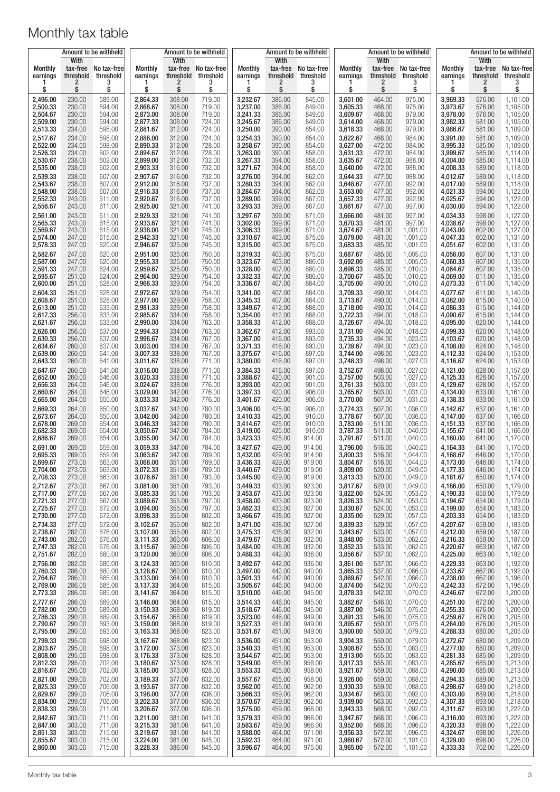|                            |                        | Amount to be withheld                  | Amount to be withheld      |                        |                                        | Amount to be withheld<br>With |                  |                                        |                            |                        | Amount to be withheld             | Amount to be withheld<br>With |                  |                                   |
|----------------------------|------------------------|----------------------------------------|----------------------------|------------------------|----------------------------------------|-------------------------------|------------------|----------------------------------------|----------------------------|------------------------|-----------------------------------|-------------------------------|------------------|-----------------------------------|
| <b>Monthly</b><br>earnings | With<br>threshold<br>2 | tax-free No tax-free<br>threshold<br>3 | <b>Monthly</b><br>earnings | With<br>threshold<br>2 | tax-free No tax-free<br>threshold<br>3 | <b>Monthly</b><br>earnings    | threshold<br>2   | tax-free No tax-free<br>threshold<br>3 | <b>Monthly</b><br>earnings | With<br>threshold<br>2 | tax-free No tax-free<br>threshold | <b>Monthly</b><br>earnings    | threshold<br>2   | tax-free No tax-free<br>threshold |
| \$                         | \$                     | \$                                     | \$                         | \$                     | \$                                     | \$                            | \$               | \$                                     | \$                         | \$                     | \$                                | \$                            | \$               | \$                                |
| 2,496.00<br>2,500.33       | 230.00<br>230.00       | 589.00<br>594.00                       | 2,864.33<br>2.868.67       | 308.00<br>308.00       | 719.00<br>719.00                       | 3,232.67<br>3,237.00          | 386.00<br>386.00 | 845.00<br>849.00                       | 3,601.00<br>3,605.33       | 464.00<br>468.00       | 975.00<br>975.00                  | 3,969.33<br>3,973.67          | 576.00<br>576.00 | 1,101.00<br>1,105.00              |
| 2,504.67                   | 230.00                 | 594.00                                 | 2,873.00                   | 308.00                 | 719.00                                 | 3,241.33                      | 386.00           | 849.00                                 | 3,609.67                   | 468.00                 | 979.00                            | 3,978.00                      | 576.00           | 1,105.00                          |
| 2,509.00                   | 230.00                 | 594.00                                 | 2,877.33                   | 308.00                 | 724.00                                 | 3,245.67                      | 386.00           | 849.00                                 | 3,614.00                   | 468.00                 | 979.00                            | 3,982.33                      | 581.00           | 1,105.00                          |
| 2,513.33                   | 234.00                 | 598.00                                 | 2,881.67                   | 312.00                 | 724.00                                 | 3,250.00                      | 390.00           | 854.00                                 | 3,618.33                   | 468.00                 | 979.00                            | 3,986.67                      | 581.00           | 1,109.00                          |
| 2,517.67<br>2,522.00       | 234.00<br>234.00       | 598.00<br>598.00                       | 2,886.00<br>2,890.33       | 312.00<br>312.00       | 724.00<br>728.00                       | 3,254.33<br>3,258.67          | 390.00<br>390.00 | 854.00<br>854.00                       | 3,622.67<br>3,627.00       | 468.00<br>472.00       | 984.00<br>984.00                  | 3,991.00<br>3,995.33          | 581.00<br>585.00 | 1,109.00<br>1,109.00              |
| 2,526.33                   | 234.00                 | 602.00                                 | 2,894.67                   | 312.00                 | 728.00                                 | 3,263.00                      | 390.00           | 858.00                                 | 3,631.33                   | 472.00                 | 984.00                            | 3,999.67                      | 585.00           | 1,114.00                          |
| 2,530.67<br>2,535.00       | 238.00<br>238.00       | 602.00<br>602.00                       | 2,899.00<br>2,903.33       | 312.00<br>316.00       | 732.00<br>732.00                       | 3,267.33<br>3,271.67          | 394.00<br>394.00 | 858.00<br>858.00                       | 3,635.67<br>3,640.00       | 472.00<br>472.00       | 988.00<br>988.00                  | 4,004.00<br>4,008.33          | 585.00<br>589.00 | 1,114.00<br>1,118.00              |
| 2,539.33                   | 238.00                 | 607.00                                 | 2,907.67                   | 316.00                 | 732.00                                 | 3,276.00                      | 394.00           | 862.00                                 | 3,644.33                   | 477.00                 | 988.00                            | 4,012.67                      | 589.00           | 1,118.00                          |
| 2,543.67                   | 238.00                 | 607.00                                 | 2,912.00                   | 316.00                 | 737.00                                 | 3,280.33                      | 394.00           | 862.00                                 | 3,648.67                   | 477.00                 | 992.00                            | 4,017.00                      | 589.00           | 1,118.00                          |
| 2,548.00<br>2,552.33       | 238.00<br>243.00       | 607.00<br>611.00                       | 2,916.33<br>2,920.67       | 316.00<br>316.00       | 737.00<br>737.00                       | 3,284.67<br>3,289.00          | 394.00<br>399.00 | 862.00<br>867.00                       | 3,653.00<br>3,657.33       | 477.00<br>477.00       | 992.00<br>992.00                  | 4,021.33<br>4,025.67          | 594.00<br>594.00 | 1,122.00<br>1,122.00              |
| 2,556.67                   | 243.00                 | 611.00                                 | 2,925.00                   | 321.00                 | 741.00                                 | 3,293.33                      | 399.00           | 867.00                                 | 3,661.67                   | 477.00                 | 997.00                            | 4,030.00                      | 594.00           | 1,122.00                          |
| 2,561.00                   | 243.00                 | 611.00                                 | 2,929.33                   | 321.00                 | 741.00                                 | 3,297.67                      | 399.00           | 871.00                                 | 3,666.00                   | 481.00                 | 997.00                            | 4,034.33                      | 598.00           | 1,127.00                          |
| 2,565.33<br>2,569.67       | 243.00<br>243.00       | 615.00<br>615.00                       | 2,933.67<br>2,938.00       | 321.00<br>321.00       | 741.00<br>745.00                       | 3,302.00<br>3,306.33          | 399.00<br>399.00 | 871.00<br>871.00                       | 3,670.33<br>3,674.67       | 481.00<br>481.00       | 997.00<br>1,001.00                | 4,038.67<br>4,043.00          | 598.00<br>602.00 | 1,127.00<br>1,127.00              |
| 2,574.00                   | 247.00                 | 615.00                                 | 2,942.33                   | 321.00                 | 745.00                                 | 3,310.67                      | 403.00           | 875.00                                 | 3,679.00                   | 481.00                 | 1,001.00                          | 4,047.33                      | 602.00           | 1,131.00                          |
| 2,578.33                   | 247.00                 | 620.00                                 | 2,946.67                   | 325.00                 | 745.00                                 | 3,315.00                      | 403.00           | 875.00                                 | 3,683.33                   | 485.00                 | 1,001.00                          | 4,051.67                      | 602.00           | 1,131.00                          |
| 2,582.67<br>2,587.00       | 247.00<br>247.00       | 620.00<br>620.00                       | 2,951.00<br>2,955.33       | 325.00<br>325.00       | 750.00<br>750.00                       | 3,319.33<br>3,323.67          | 403.00<br>403.00 | 875.00<br>880.00                       | 3,687.67<br>3,692.00       | 485.00<br>485.00       | 1,005.00<br>1,005.00              | 4,056.00<br>4,060.33          | 607.00<br>607.00 | 1,131.00<br>1,135.00              |
| 2,591.33                   | 247.00                 | 624.00                                 | 2,959.67                   | 325.00                 | 750.00                                 | 3,328.00                      | 407.00           | 880.00                                 | 3,696.33                   | 485.00                 | 1,010.00                          | 4,064.67                      | 607.00           | 1,135.00                          |
| 2,595.67                   | 251.00                 | 624.00                                 | 2,964.00                   | 329.00                 | 754.00                                 | 3,332.33                      | 407.00           | 880.00                                 | 3,700.67                   | 485.00                 | 1,010.00                          | 4,069.00                      | 611.00           | 1,135.00                          |
| 2,600.00<br>2,604.33       | 251.00<br>251.00       | 628.00<br>628.00                       | 2,968.33<br>2,972.67       | 329.00<br>329.00       | 754.00<br>754.00                       | 3,336.67<br>3,341.00          | 407.00<br>407.00 | 884.00<br>884.00                       | 3,705.00<br>3,709.33       | 490.00<br>490.00       | 1,010.00<br>1,014.00              | 4,073.33<br>4,077.67          | 611.00<br>611.00 | 1,140.00<br>1,140.00              |
| 2,608.67                   | 251.00                 | 628.00                                 | 2,977.00                   | 329.00                 | 758.00                                 | 3,345.33                      | 407.00           | 884.00                                 | 3,713.67                   | 490.00                 | 1,014.00                          | 4,082.00                      | 615.00           | 1,140.00                          |
| 2,613.00<br>2,617.33       | 251.00                 | 633.00                                 | 2,981.33<br>2,985.67       | 329.00<br>334.00       | 758.00<br>758.00                       | 3,349.67<br>3,354.00          | 412.00           | 888.00                                 | 3,718.00<br>3,722.33       | 490.00<br>494.00       | 1,014.00<br>1,018.00              | 4,086.33                      | 615.00<br>615.00 | 1,144.00                          |
| 2,621.67                   | 256.00<br>256.00       | 633.00<br>633.00                       | 2,990.00                   | 334.00                 | 763.00                                 | 3,358.33                      | 412.00<br>412.00 | 888.00<br>888.00                       | 3,726.67                   | 494.00                 | 1,018.00                          | 4,090.67<br>4,095.00          | 620.00           | 1,144.00<br>1,144.00              |
| 2,626.00                   | 256.00                 | 637.00                                 | 2,994.33                   | 334.00                 | 763.00                                 | 3,362.67                      | 412.00           | 893.00                                 | 3,731.00                   | 494.00                 | 1,018.00                          | 4,099.33                      | 620.00           | 1,148.00                          |
| 2,630.33<br>2,634.67       | 256.00<br>260.00       | 637.00<br>637.00                       | 2,998.67<br>3,003.00       | 334.00<br>334.00       | 767.00<br>767.00                       | 3,367.00<br>3,371.33          | 416.00<br>416.00 | 893.00<br>893.00                       | 3,735.33<br>3,739.67       | 494.00<br>494.00       | 1,023.00<br>1,023.00              | 4,103.67<br>4,108.00          | 620.00<br>624.00 | 1,148.00<br>1,148.00              |
| 2,639.00                   | 260.00                 | 641.00                                 | 3,007.33                   | 338.00                 | 767.00                                 | 3,375.67                      | 416.00           | 897.00                                 | 3,744.00                   | 498.00                 | 1,023.00                          | 4,112.33                      | 624.00           | 1,153.00                          |
| 2,643.33                   | 260.00                 | 641.00                                 | 3,011.67                   | 338.00                 | 771.00                                 | 3,380.00                      | 416.00           | 897.00                                 | 3,748.33                   | 498.00                 | 1,027.00                          | 4,116.67                      | 624.00           | 1,153.00                          |
| 2,647.67<br>2,652.00       | 260.00<br>260.00       | 641.00<br>646.00                       | 3,016.00<br>3,020.33       | 338.00<br>338.00       | 771.00<br>771.00                       | 3,384.33<br>3,388.67          | 416.00<br>420.00 | 897.00<br>901.00                       | 3,752.67<br>3,757.00       | 498.00<br>503.00       | 1,027.00<br>1,027.00              | 4,121.00<br>4,125.33          | 628.00<br>628.00 | 1,157.00<br>1,157.00              |
| 2,656.33                   | 264.00                 | 646.00                                 | 3,024.67                   | 338.00                 | 776.00                                 | 3,393.00                      | 420.00           | 901.00                                 | 3,761.33                   | 503.00                 | 1,031.00                          | 4,129.67                      | 628.00           | 1,157.00                          |
| 2,660.67<br>2,665.00       | 264.00<br>264.00       | 646.00<br>650.00                       | 3,029.00<br>3,033.33       | 342.00<br>342.00       | 776.00<br>776.00                       | 3,397.33<br>3,401.67          | 420.00<br>420.00 | 906.00<br>906.00                       | 3,765.67<br>3,770.00       | 503.00<br>507.00       | 1,031.00<br>1,031.00              | 4,134.00<br>4,138.33          | 633.00<br>633.00 | 1,161.00<br>1,161.00              |
| 2,669.33                   | 264.00                 | 650.00                                 | 3,037.67                   | 342.00                 | 780.00                                 | 3,406.00                      | 425.00           | 906.00                                 | 3,774.33                   | 507.00                 | 1,036.00                          | 4,142.67                      | 637.00           | 1,161.00                          |
| 2,673.67                   | 264.00                 | 650.00                                 | 3,042.00                   | 342.00                 | 780.00                                 | 3,410.33                      | 425.00           | 910.00                                 | 3,778.67                   | 507.00                 | 1,036.00                          | 4,147.00                      | 637.00           | 1.166.00                          |
| 2,678.00<br>2,682.33       | 269.00<br>269.00       | 654.00<br>654.00                       | 3,046.33<br>3,050.67       | 342.00<br>347.00       | 780.00<br>784.00                       | 3,414.67<br>3,419.00          | 425.00<br>425.00 | 910.00<br>910.00                       | 3,783.00<br>3,787.33       | 511.00<br>511.00       | 1,036.00<br>1,040.00              | 4,151.33<br>4,155.67          | 637.00<br>641.00 | 1,166.00<br>1,166.00              |
| 2,686.67                   | 269.00                 | 654.00                                 | 3,055.00                   | 347.00                 | 784.00                                 | 3,423.33                      | 425.00           | 914.00                                 | 3,791.67                   | 511.00                 | 1,040.00                          | 4,160.00                      | 641.00           | 1,170.00                          |
| 2,691.00                   | 269.00                 | 659.00                                 | 3,059.33                   | 347.00                 | 784.00                                 | 3,427.67                      | 429.00           | 914.00                                 | 3,796.00                   | 516.00                 | 1,040.00                          | 4,164.33                      | 641.00           | 1,170.00                          |
| 2,695.33<br>2,699.67       | 269.00<br>273.00       | 659.00<br>663.00                       | 3,063.67<br>3,068.00       | 347.00<br>351.00       | 789.00<br>789.00                       | 3,432.00<br>3,436.33          | 429.00<br>429.00 | 914.00<br>919.00                       | 3,800.33<br>3,804.67       | 516.00<br>516.00       | 1,044.00<br>1,044.00              | 4,168.67<br>4,173.00          | 646.00<br>646.00 | 1,170.00<br>1.174.00              |
| 2,704.00                   | 273.00                 | 663.00                                 | 3,072.33                   | 351.00                 | 789.00                                 | 3,440.67                      | 429.00           | 919.00                                 | 3,809.00                   | 520.00                 | 1,049.00                          | 4,177.33                      | 646.00           | 1,174.00                          |
| 2,708.33<br>2,712.67       | 273.00<br>273.00       | 663.00<br>667.00                       | 3,076.67<br>3,081.00       | 351.00<br>351.00       | 793.00<br>793.00                       | 3,445.00<br>3,449.33          | 429.00<br>433.00 | 919.00<br>923.00                       | 3,813.33<br>3,817.67       | 520.00<br>520.00       | 1,049.00<br>1,049.00              | 4,181.67<br>4,186.00          | 650.00<br>650.00 | 1,174.00<br>1,179.00              |
| 2,717.00                   | 277.00                 | 667.00                                 | 3.085.33                   | 351.00                 | 793.00                                 | 3,453.67                      | 433.00           | 923.00                                 | 3,822.00                   | 524.00                 | 1,053.00                          | 4,190.33                      | 650.00           | 1,179.00                          |
| 2,721.33<br>2,725.67       | 277.00<br>277.00       | 667.00<br>672.00                       | 3,089.67<br>3,094.00       | 355.00<br>355.00       | 797.00<br>797.00                       | 3,458.00<br>3,462.33          | 433.00<br>433.00 | 923.00<br>927.00                       | 3,826.33<br>3,830.67       | 524.00<br>524.00       | 1,053.00<br>1,053.00              | 4,194.67<br>4,199.00          | 654.00<br>654.00 | 1,179.00<br>1,183.00              |
| 2,730.00                   | 277.00                 | 672.00                                 | 3,098.33                   | 355.00                 | 802.00                                 | 3,466.67                      | 438.00           | 927.00                                 | 3,835.00                   | 529.00                 | 1,057.00                          | 4,203.33                      | 654.00           | 1,183.00                          |
| 2,734.33                   | 277.00                 | 672.00                                 | 3,102.67                   | 355.00                 | 802.00                                 | 3,471.00                      | 438.00           | 927.00                                 | 3,839.33                   | 529.00                 | 1,057.00                          | 4,207.67                      | 659.00           | 1,183.00                          |
| 2,738.67<br>2,743.00       | 282.00<br>282.00       | 676.00<br>676.00                       | 3,107.00<br>3,111.33       | 355.00<br>360.00       | 802.00<br>806.00                       | 3,475.33<br>3,479.67          | 438.00<br>438.00 | 932.00<br>932.00                       | 3,843.67<br>3,848.00       | 533.00<br>533.00       | 1,057.00<br>1,062.00              | 4,212.00<br>4,216.33          | 659.00<br>659.00 | 1,187.00<br>1,187.00              |
| 2,747.33                   | 282.00                 | 676.00                                 | 3,115.67                   | 360.00                 | 806.00                                 | 3,484.00                      | 438.00           | 932.00                                 | 3,852.33                   | 533.00                 | 1,062.00                          | 4,220.67                      | 663.00           | 1,187.00                          |
| 2,751.67<br>2,756.00       | 282.00<br>282.00       | 680.00<br>680.00                       | 3,120.00<br>3,124.33       | 360.00<br>360.00       | 806.00<br>810.00                       | 3,488.33<br>3,492.67          | 442.00<br>442.00 | 936.00<br>936.00                       | 3,856.67<br>3,861.00       | 537.00<br>537.00       | 1,062.00<br>1,066.00              | 4,225.00<br>4,229.33          | 663.00<br>663.00 | 1,192.00<br>1,192.00              |
| 2,760.33                   | 286.00                 | 680.00                                 | 3,128.67                   | 360.00                 | 810.00                                 | 3,497.00                      | 442.00           | 940.00                                 | 3,865.33                   | 537.00                 | 1,066.00                          | 4,233.67                      | 667.00           | 1,192.00                          |
| 2,764.67<br>2,769.00       | 286.00<br>286.00       | 685.00<br>685.00                       | 3,133.00<br>3,137.33       | 364.00<br>364.00       | 810.00<br>815.00                       | 3,501.33<br>3,505.67          | 442.00<br>446.00 | 940.00<br>940.00                       | 3.869.67<br>3,874.00       | 542.00<br>542.00       | 1,066.00<br>1,070.00              | 4,238.00<br>4,242.33          | 667.00<br>672.00 | 1,196.00<br>1,196.00              |
| 2,773.33                   | 286.00                 | 685.00                                 | 3,141.67                   | 364.00                 | 815.00                                 | 3,510.00                      | 446.00           | 945.00                                 | 3,878.33                   | 542.00                 | 1,070.00                          | 4,246.67                      | 672.00           | 1,200.00                          |
| 2,777.67                   | 286.00                 | 689.00                                 | 3,146.00                   | 364.00                 | 815.00                                 | 3,514.33                      | 446.00           | 945.00                                 | 3,882.67                   | 546.00                 | 1,070.00                          | 4,251.00                      | 672.00           | 1,200.00                          |
| 2,782.00<br>2,786.33       | 290.00<br>290.00       | 689.00<br>689.00                       | 3,150.33<br>3,154.67       | 368.00<br>368.00       | 819.00<br>819.00                       | 3,518.67<br>3,523.00          | 446.00<br>446.00 | 945.00<br>949.00                       | 3,887.00<br>3,891.33       | 546.00<br>546.00       | 1,075.00<br>1,075.00              | 4,255.33<br>4,259.67          | 676.00<br>676.00 | 1,200.00<br>1,205.00              |
| 2,790.67                   | 290.00                 | 693.00                                 | 3,159.00                   | 368.00                 | 819.00                                 | 3,527.33                      | 451.00           | 949.00                                 | 3,895.67                   | 550.00                 | 1,075.00                          | 4,264.00                      | 676.00           | 1,205.00                          |
| 2,795.00                   | 290.00<br>295.00       | 693.00<br>698.00                       | 3,163.33<br>3,167.67       | 368.00                 | 823.00<br>823.00                       | 3,531.67<br>3,536.00          | 451.00           | 949.00<br>953.00                       | 3,900.00<br>3,904.33       | 550.00                 | 1,079.00                          | 4,268.33<br>4,272.67          | 680.00<br>680.00 | 1,205.00                          |
| 2,799.33<br>2,803.67       | 295.00                 | 698.00                                 | 3,172.00                   | 368.00<br>373.00       | 823.00                                 | 3,540.33                      | 451.00<br>451.00 | 953.00                                 | 3,908.67                   | 550.00<br>555.00       | 1,079.00<br>1,083.00              | 4,277.00                      | 680.00           | 1,209.00<br>1,209.00              |
| 2,808.00<br>2,812.33       | 295.00                 | 698.00<br>702.00                       | 3,176.33                   | 373.00                 | 828.00                                 | 3,544.67<br>3,549.00          | 455.00           | 953.00                                 | 3,913.00                   | 555.00                 | 1,083.00                          | 4,281.33                      | 685.00<br>685.00 | 1,209.00                          |
| 2,816.67                   | 295.00<br>295.00       | 702.00                                 | 3,180.67<br>3,185.00       | 373.00<br>373.00       | 828.00<br>828.00                       | 3,553.33                      | 455.00<br>455.00 | 958.00<br>958.00                       | 3,917.33<br>3,921.67       | 555.00<br>559.00       | 1,083.00<br>1,088.00              | 4,285.67<br>4,290.00          | 685.00           | 1,213.00<br>1,213.00              |
| 2,821.00                   | 299.00                 | 702.00                                 | 3,189.33                   | 377.00                 | 832.00                                 | 3,557.67                      | 455.00           | 958.00                                 | 3,926.00                   | 559.00                 | 1,088.00                          | 4,294.33                      | 689.00           | 1,213.00                          |
| 2,825.33<br>2,829.67       | 299.00<br>299.00       | 706.00<br>706.00                       | 3,193.67<br>3,198.00       | 377.00<br>377.00       | 832.00<br>836.00                       | 3,562.00<br>3,566.33          | 455.00<br>459.00 | 962.00<br>962.00                       | 3,930.33<br>3,934.67       | 559.00<br>563.00       | 1,088.00<br>1,092.00              | 4,298.67<br>4,303.00          | 689.00<br>689.00 | 1,218.00<br>1,218.00              |
| 2,834.00                   | 299.00                 | 706.00                                 | 3,202.33                   | 377.00                 | 836.00                                 | 3,570.67                      | 459.00           | 962.00                                 | 3,939.00                   | 563.00                 | 1,092.00                          | 4,307.33                      | 693.00           | 1,218.00                          |
| 2,838.33                   | 299.00                 | 711.00                                 | 3,206.67                   | 377.00                 | 836.00                                 | 3,575.00                      | 459.00           | 966.00                                 | 3,943.33                   | 568.00                 | 1,092.00                          | 4,311.67                      | 693.00           | 1,222.00                          |
| 2,842.67<br>2,847.00       | 303.00<br>303.00       | 711.00<br>711.00                       | 3,211.00<br>3,215.33       | 381.00<br>381.00       | 841.00<br>841.00                       | 3,579.33<br>3,583.67          | 459.00<br>459.00 | 966.00<br>966.00                       | 3,947.67<br>3,952.00       | 568.00<br>568.00       | 1,096.00<br>1,096.00              | 4,316.00<br>4,320.33          | 693.00<br>698.00 | 1,222.00<br>1,222.00              |
| 2,851.33                   | 303.00                 | 715.00                                 | 3,219.67                   | 381.00                 | 841.00                                 | 3,588.00                      | 464.00           | 971.00                                 | 3,956.33                   | 572.00                 | 1,096.00                          | 4,324.67                      | 698.00           | 1,226.00                          |
| 2,855.67<br>2,860.00       | 303.00<br>303.00       | 715.00<br>715.00                       | 3,224.00<br>3,228.33       | 381.00<br>386.00       | 845.00<br>845.00                       | 3,592.33<br>3,596.67          | 464.00<br>464.00 | 971.00<br>975.00                       | 3,960.67<br>3,965.00       | 572.00<br>572.00       | 1,101.00<br>1,101.00              | 4,329.00<br>4,333.33          | 698.00<br>702.00 | 1,226.00<br>1,226.00              |
|                            |                        |                                        |                            |                        |                                        |                               |                  |                                        |                            |                        |                                   |                               |                  |                                   |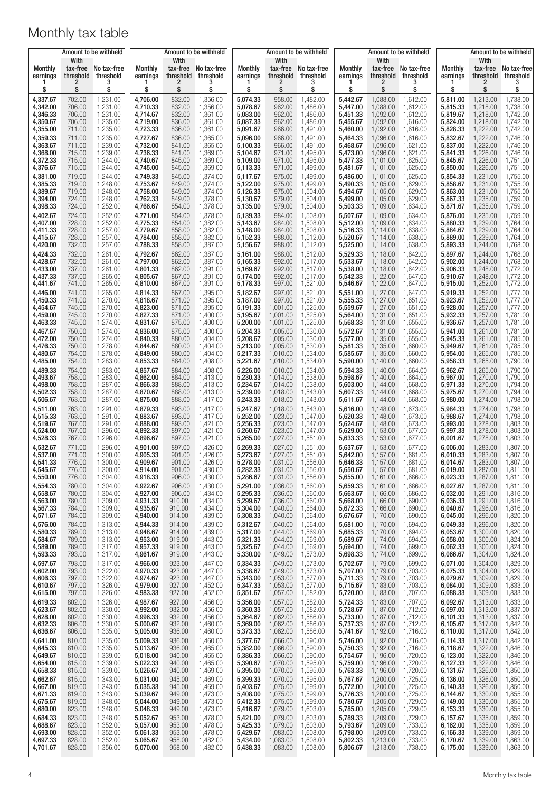|                            |                              | Amount to be withheld             | Amount to be withheld            |                            |                                              | Amount to be withheld            |                            |                                                        |                                  |                        | Amount to be withheld                   | Amount to be withheld            |                              |                                        |
|----------------------------|------------------------------|-----------------------------------|----------------------------------|----------------------------|----------------------------------------------|----------------------------------|----------------------------|--------------------------------------------------------|----------------------------------|------------------------|-----------------------------------------|----------------------------------|------------------------------|----------------------------------------|
| <b>Monthly</b><br>earnings | With<br>threshold<br>2<br>\$ | tax-free No tax-free<br>threshold | <b>Monthly</b><br>earnings       | With<br>threshold<br>2     | tax-free No tax-free<br>threshold<br>3<br>\$ | <b>Monthly</b><br>earnings<br>\$ | With<br>2                  | tax-free No tax-free<br>threshold threshold<br>3<br>\$ | <b>Monthly</b><br>earnings<br>\$ | With<br>threshold<br>2 | tax-free No tax-free<br>threshold<br>\$ | <b>Monthly</b><br>earnings       | With<br>threshold<br>2<br>\$ | tax-free No tax-free<br>threshold      |
| \$<br>4,337.67             | 702.00                       | \$<br>1,231.00                    | \$<br>4,706.00                   | \$<br>832.00               | 1,356.00                                     | 5,074.33                         | \$<br>958.00               | 1,482.00                                               | 5,442.67                         | \$<br>1,088.00         | 1,612.00                                | \$<br>5,811.00                   | 1,213.00                     | \$<br>1,738.00                         |
| 4,342.00                   | 706.00                       | 1,231.00                          | 4,710.33                         | 832.00                     | 1,356.00                                     | 5,078.67                         | 962.00                     | 1,486.00                                               | 5,447.00                         | 1,088.00               | 1,612.00                                | 5,815.33                         | 1,218.00                     | 1,738.00                               |
| 4,346.33                   | 706.00                       | 1,231.00                          | 4,714.67                         | 832.00                     | 1,361.00                                     | 5,083.00                         | 962.00                     | 1,486.00                                               | 5,451.33                         | 1,092.00               | 1,612.00                                | 5,819.67                         | 1,218.00                     | 1,742.00                               |
| 4,350.67                   | 706.00                       | 1,235.00                          | 4,719.00                         | 836.00                     | 1,361.00                                     | 5,087.33                         | 962.00                     | 1,486.00                                               | 5,455.67                         | 1,092.00               | 1,616.00                                | 5,824.00                         | 1,218.00                     | 1,742.00                               |
| 4,355.00                   | 711.00                       | 1,235.00                          | 4,723.33                         | 836.00                     | 1,361.00                                     | 5,091.67                         | 966.00                     | 1,491.00                                               | 5,460.00                         | 1,092.00               | 1,616.00                                | 5,828.33                         | 1,222.00                     | 1,742.00                               |
| 4,359.33                   | 711.00                       | 1,235.00                          | 4,727.67                         | 836.00                     | 1,365.00                                     | 5,096.00                         | 966.00                     | 1,491.00                                               | 5,464.33                         | 1,096.00               | 1,616.00                                | 5,832.67                         | 1,222.00                     | 1,746.00                               |
| 4,363.67                   | 711.00                       | 1,239.00                          | 4,732.00                         | 841.00                     | 1,365.00                                     | 5,100.33                         | 966.00                     | 1,491.00                                               | 5,468.67                         | 1,096.00               | 1,621.00                                | 5,837.00                         | 1,222.00                     | 1,746.00                               |
| 4,368.00                   | 715.00                       | 1,239.00                          | 4,736.33                         | 841.00                     | 1,369.00                                     | 5,104.67                         | 971.00                     | 1,495.00                                               | 5,473.00                         | 1,096.00               | 1,621.00                                | 5,841.33                         | 1,226.00                     | 1,746.00                               |
| 4,372.33                   | 715.00                       | 1,244.00                          | 4,740.67                         | 845.00                     | 1,369.00                                     | 5,109.00                         | 971.00                     | 1,495.00                                               | 5,477.33                         | 1,101.00               | 1,625.00                                | 5,845.67                         | 1,226.00                     | 1,751.00                               |
| 4,376.67<br>4,381.00       | 715.00                       | 1,244.00<br>1,244.00              | 4,745.00                         | 845.00                     | 1,369.00                                     | 5,113.33                         | 971.00                     | 1,499.00                                               | 5,481.67                         | 1,101.00<br>1,101.00   | 1,625.00<br>1,625.00                    | 5,850.00                         | 1,226.00<br>1,231.00         | 1,751.00                               |
| 4,385.33<br>4,389.67       | 719.00<br>719.00<br>719.00   | 1,248.00<br>1,248.00              | 4,749.33<br>4,753.67<br>4,758.00 | 845.00<br>849.00<br>849.00 | 1,374.00<br>1,374.00<br>1,374.00             | 5,117.67<br>5,122.00<br>5,126.33 | 975.00<br>975.00<br>975.00 | 1,499.00<br>1,499.00<br>1,504.00                       | 5,486.00<br>5,490.33<br>5,494.67 | 1,105.00<br>1,105.00   | 1,629.00<br>1,629.00                    | 5,854.33<br>5,858.67<br>5,863.00 | 1,231.00<br>1,231.00         | 1,755.00<br>1,755.00<br>1,755.00       |
| 4,394.00                   | 724.00                       | 1,248.00                          | 4,762.33                         | 849.00                     | 1,378.00                                     | 5,130.67                         | 979.00                     | 1,504.00                                               | 5,499.00                         | 1,105.00               | 1,629.00                                | 5,867.33                         | 1,235.00                     | 1,759.00                               |
| 4,398.33                   | 724.00                       | 1,252.00                          | 4,766.67                         | 854.00                     | 1,378.00                                     | 5,135.00                         | 979.00                     | 1,504.00                                               | 5,503.33                         | 1,109.00               | 1,634.00                                | 5,871.67                         | 1,235.00                     | 1,759.00                               |
| 4,402.67                   | 724.00                       | 1,252.00                          | 4,771.00                         | 854.00                     | 1,378.00                                     | 5,139.33                         | 984.00                     | 1,508.00                                               | 5,507.67                         | 1,109.00               | 1,634.00                                | 5,876.00                         | 1,235.00                     | 1,759.00                               |
| 4,407.00                   | 728.00                       | 1,252.00                          | 4,775.33                         | 854.00                     | 1,382.00                                     | 5,143.67                         | 984.00                     | 1,508.00                                               | 5,512.00                         | 1,109.00               | 1,634.00                                | 5,880.33                         | 1,239.00                     | 1,764.00                               |
| 4,411.33                   | 728.00                       | 1,257.00                          | 4,779.67                         | 858.00                     | 1,382.00                                     | 5,148.00                         | 984.00                     | 1,508.00                                               | 5,516.33                         | 1,114.00               | 1,638.00                                | 5,884.67                         | 1,239.00                     | 1,764.00                               |
| 4,415.67                   | 728.00                       | 1,257.00                          | 4,784.00                         | 858.00                     | 1,382.00                                     | 5,152.33                         | 988.00                     | 1,512.00                                               | 5,520.67                         | 1,114.00               | 1,638.00                                | 5,889.00                         | 1,239.00                     | 1,764.00                               |
| 4,420.00                   | 732.00                       | 1,257.00                          | 4,788.33                         | 858.00                     | 1,387.00                                     | 5,156.67                         | 988.00                     | 1,512.00                                               | 5,525.00                         | 1,114.00               | 1,638.00                                | 5,893.33                         | 1,244.00                     | 1,768.00                               |
| 4,424.33                   | 732.00                       | 1,261.00                          | 4,792.67                         | 862.00                     | 1,387.00                                     | 5,161.00                         | 988.00                     | 1,512.00                                               | 5,529.33                         | 1,118.00               | 1,642.00                                | 5,897.67                         | 1,244.00                     | 1.768.00                               |
| 4,428.67                   | 732.00                       | 1,261.00                          | 4,797.00                         | 862.00                     | 1,387.00                                     | 5,165.33                         | 992.00                     | 1,517.00                                               | 5,533.67                         | 1,118.00               | 1,642.00                                | 5,902.00                         | 1,244.00                     | 1,768.00                               |
| 4,433.00                   | 737.00                       | 1,261.00                          | 4,801.33                         | 862.00                     | 1,391.00                                     | 5,169.67                         | 992.00                     | 1,517.00                                               | 5,538.00                         | 1,118.00               | 1,642.00                                | 5,906.33                         | 1,248.00                     | 1,772.00                               |
| 4,437.33                   | 737.00                       | 1,265.00                          | 4,805.67                         | 867.00                     | 1,391.00                                     | 5,174.00                         | 992.00                     | 1,517.00                                               | 5,542.33                         | 1,122.00               | 1,647.00                                | 5,910.67                         | 1,248.00                     | 1,772.00                               |
| 4,441.67                   | 741.00                       | 1,265.00                          | 4,810.00                         | 867.00                     | 1,391.00                                     | 5,178.33                         | 997.00                     | 1,521.00                                               | 5,546.67                         | 1,122.00               | 1,647.00                                | 5,915.00                         | 1,252.00                     | 1,772.00                               |
| 4,446.00                   | 741.00                       | 1,265.00                          | 4,814.33                         | 867.00                     | 1,395.00                                     | 5,182.67                         | 997.00                     | 1,521.00                                               | 5,551.00                         | 1,127.00               | 1,647.00                                | 5,919.33                         | 1,252.00                     | 1,777.00                               |
| 4,450.33                   | 741.00                       | 1,270.00                          | 4,818.67                         | 871.00                     | 1,395.00                                     | 5,187.00                         | 997.00                     | 1,521.00                                               | 5,555.33                         | 1,127.00               | 1,651.00                                | 5,923.67                         | 1,252.00                     | 1.777.00                               |
| 4,454.67                   | 745.00                       | 1,270.00                          | 4,823.00                         | 871.00                     | 1,395.00                                     | 5,191.33                         | 1,001.00                   | 1,525.00                                               | 5,559.67                         | 1,127.00               | 1,651.00                                | 5,928.00                         | 1,257.00                     | 1,777.00                               |
| 4,459.00                   | 745.00                       | 1,270.00                          | 4,827.33                         | 871.00                     | 1,400.00                                     | 5,195.67                         | 1,001.00                   | 1,525.00                                               | 5,564.00                         | 1,131.00               | 1,651.00                                | 5,932.33                         | 1,257.00                     | 1,781.00                               |
| 4,463.33                   | 745.00                       | 1,274.00                          | 4,831.67                         | 875.00                     | 1,400.00                                     | 5,200.00                         | 1,001.00                   | 1,525.00                                               | 5,568.33                         | 1,131.00               | 1,655.00                                | 5,936.67                         | 1,257.00                     | 1,781.00                               |
| 4,467.67                   | 750.00                       | 1,274.00                          | 4,836.00                         | 875.00                     | 1,400.00                                     | 5,204.33                         | 1,005.00                   | 1,530.00                                               | 5,572.67                         | 1,131.00               | 1,655.00                                | 5,941.00                         | 1,261.00                     | 1,781.00                               |
| 4,472.00                   | 750.00                       | 1,274.00                          | 4,840.33                         | 880.00                     | 1,404.00                                     | 5,208.67                         | 1,005.00                   | 1,530.00                                               | 5,577.00                         | 1,135.00               | 1,655.00                                | 5,945.33                         | 1,261.00                     | 1,785.00                               |
| 4,476.33                   | 750.00                       | 1,278.00                          | 4,844.67                         | 880.00                     | 1,404.00                                     | 5,213.00                         | 1,005.00                   | 1,530.00                                               | 5,581.33                         | 1,135.00               | 1,660.00                                | 5,949.67                         | 1,261.00                     | 1,785.00                               |
| 4,480.67                   | 754.00                       | 1,278.00                          | 4,849.00                         | 880.00                     | 1,404.00                                     | 5,217.33                         | 1,010.00                   | 1,534.00                                               | 5,585.67                         | 1,135.00               | 1,660.00                                | 5,954.00                         | 1,265.00                     | 1,785.00                               |
| 4,485.00                   | 754.00                       | 1,283.00                          | 4,853.33                         | 884.00                     | 1,408.00                                     | 5,221.67                         | 1,010.00                   | 1,534.00                                               | 5,590.00                         | 1,140.00               | 1,660.00                                | 5,958.33                         | 1,265.00                     | 1,790.00                               |
| 4,489.33                   | 754.00                       | 1,283.00                          | 4,857.67                         | 884.00                     | 1,408.00                                     | 5,226.00                         | 1,010.00                   | 1,534.00                                               | 5,594.33                         | 1,140.00               | 1,664.00                                | 5,962.67                         | 1,265.00                     | 1,790.00                               |
| 4,493.67                   | 758.00                       | 1,283.00                          | 4,862.00                         | 884.00                     | 1,413.00                                     | 5,230.33                         | 1,014.00                   | 1,538.00                                               | 5,598.67                         | 1,140.00               | 1,664.00                                | 5,967.00                         | 1,270.00                     | 1,790.00                               |
| 4,498.00                   | 758.00                       | 1,287.00                          | 4,866.33                         | 888.00                     | 1,413.00                                     | 5,234.67                         | 1,014.00                   | 1,538.00                                               | 5,603.00                         | 1,144.00               | 1,668.00                                | 5,971.33                         | 1,270.00                     | 1,794.00                               |
| 4,502.33                   | 758.00                       | 1,287.00                          | 4,870.67                         | 888.00                     | 1,413.00                                     | 5,239.00                         | 1,018.00                   | 1,543.00                                               | 5,607.33                         | 1,144.00               | 1,668.00                                | 5,975.67                         | 1,270.00                     | 1,794.00                               |
| 4,506.67                   | 763.00                       | 1,287.00                          | 4,875.00                         | 888.00                     | 1,417.00                                     | 5,243.33                         | 1,018.00                   | 1,543.00                                               | 5,611.67                         | 1,144.00               | 1,668.00                                | 5,980.00                         | 1,274.00                     | 1,798.00                               |
| 4,511.00                   | 763.00                       | 1,291.00                          | 4,879.33                         | 893.00                     | 1,417.00                                     | 5,247.67                         | 1,018.00                   | 1,543.00                                               | 5,616.00                         | 1,148.00               | 1,673.00                                | 5,984.33                         | 1,274.00                     | 1,798.00                               |
| 4,515.33                   | 763.00                       | 1,291.00                          | 4,883.67                         | 893.00                     | 1,417.00                                     | 5,252.00                         | 1,023.00                   | 1.547.00                                               | 5,620.33                         | 1,148.00               | 1,673.00                                | 5,988.67                         | 1,274.00                     | 1,798.00                               |
| 4,519.67                   | 767.00                       | 1,291.00                          | 4,888.00                         | 893.00                     | 1,421.00                                     | 5,256.33                         | 1,023.00                   | 1,547.00                                               | 5,624.67                         | 1,148.00               | 1,673.00                                | 5,993.00                         | 1,278.00                     | 1,803.00                               |
| 4,524.00                   | 767.00                       | 1,296.00                          | 4,892.33                         | 897.00                     | 1,421.00                                     | 5,260.67                         | 1,023.00                   | 1,547.00                                               | 5,629.00                         | 1,153.00               | 1,677.00                                | 5,997.33                         | 1,278.00                     | 1,803.00                               |
| 4,528.33                   | 767.00                       | 1,296.00                          | 4,896.67                         | 897.00                     | 1,421.00                                     | 5,265.00                         | 1,027.00                   | 1,551.00                                               | 5,633.33                         | 1,153.00               | 1,677.00                                | 6,001.67                         | 1,278.00                     | 1,803.00                               |
| 4,532.67                   | 771.00                       | 1,296.00                          | 4,901.00                         | 897.00                     | 1,426.00                                     | 5,269.33                         | 1.027.00                   | 1,551.00                                               | 5,637.67                         | 1,153.00               | 1,677.00                                | 6,006.00                         | 1,283.00                     | 1,807.00                               |
| 4,537.00                   | 771.00                       | 1,300.00                          | 4,905.33                         | 901.00                     | 1,426.00                                     | 5,273.67                         | 1,027.00                   | 1,551.00                                               | 5,642.00                         | 1,157.00               | 1,681.00                                | 6,010.33                         | 1,283.00                     | 1,807.00                               |
| 4,541.33                   | 776.00                       | 1,300.00                          | 4,909.67                         | 901.00                     | 1,426.00                                     | 5,278.00                         | 1,031.00                   | 1,556.00                                               | 5,646.33                         | 1,157.00               | 1,681.00                                | 6,014.67                         | 1,283.00                     | 1,807.00                               |
| 4,545.67<br>4,550.00       | 776.00<br>776.00             | 1,300.00<br>1,304.00              | 4,914.00<br>4,918.33             | 901.00<br>906.00           | 1,430.00<br>1,430.00                         | 5,282.33<br>5,286.67             |                            | 1,031.00  1,556.00<br>1,031.00 1,556.00                | 5,650.67<br>5,655.00             | 1,161.00               | 1,157.00 1,681.00<br>1,686.00           | 6,019.00<br>6,023.33             |                              | 1,287.00 1,811.00<br>1,287.00 1,811.00 |
| 4,554.33                   | 780.00                       | 1,304.00                          | 4,922.67                         | 906.00                     | 1,430.00                                     | 5,291.00                         | 1,036.00                   | 1,560.00                                               | 5,659.33                         | 1,161.00               | 1,686.00                                | 6,027.67                         | 1,287.00                     | 1,811.00                               |
| 4,558.67                   | 780.00                       | 1,304.00                          | 4,927.00                         | 906.00                     | 1,434.00                                     | 5.295.33                         | 1,036.00                   | 1,560.00                                               | 5,663.67                         | 1,166.00               | 1,686.00                                | 6,032.00                         | 1,291.00                     | 1,816.00                               |
| 4,563.00                   | 780.00                       | 1,309.00                          | 4,931.33                         | 910.00                     | 1,434.00                                     | 5,299.67                         | 1,036.00                   | 1,560.00                                               | 5,668.00                         | 1,166.00               | 1,690.00                                | 6,036.33                         | 1,291.00                     | 1,816.00                               |
| 4,567.33                   | 784.00                       | 1,309.00                          | 4,935.67                         | 910.00                     | 1,434.00                                     | 5,304.00                         | 1,040.00                   | 1,564.00                                               | 5,672.33                         | 1,166.00               | 1,690.00                                | 6,040.67                         | 1,296.00                     | 1,816.00                               |
| 4,571.67                   | 784.00                       | 1,309.00                          | 4,940.00                         | 914.00                     | 1,439.00                                     | 5,308.33                         | 1,040.00                   | 1,564.00                                               | 5,676.67                         | 1,170.00               | 1,690.00                                | 6,045.00                         | 1,296.00                     | 1,820.00                               |
| 4,576.00                   | 784.00                       | 1,313.00                          | 4,944.33                         | 914.00                     | 1,439.00                                     | 5,312.67                         | 1,040.00                   | 1,564.00                                               | 5,681.00                         | 1,170.00               | 1,694.00                                | 6,049.33                         | 1,296.00                     | 1,820.00                               |
| 4,580.33                   | 789.00                       | 1,313.00                          | 4,948.67                         | 914.00                     | 1,439.00                                     | 5,317.00                         | 1,044.00                   | 1,569.00                                               | 5,685.33                         | 1,170.00               | 1,694.00                                | 6,053.67                         | 1,300.00                     | 1,820.00                               |
| 4,584.67                   | 789.00                       | 1,313.00                          | 4,953.00                         | 919.00                     | 1,443.00                                     | 5,321.33                         | 1,044.00                   | 1,569.00                                               | 5,689.67                         | 1,174.00               | 1,694.00                                | 6,058.00                         | 1,300.00                     | 1,824.00                               |
| 4,589.00                   | 789.00                       | 1,317.00                          | 4,957.33                         | 919.00                     | 1,443.00                                     | 5,325.67                         | 1,044.00                   | 1,569.00                                               | 5,694.00                         | 1,174.00               | 1,699.00                                | 6,062.33                         | 1,300.00                     | 1,824.00                               |
| 4,593.33                   | 793.00                       | 1,317.00                          | 4,961.67                         | 919.00                     | 1,443.00                                     | 5,330.00                         | 1,049.00                   | 1,573.00                                               | 5,698.33                         | 1,174.00               | 1,699.00                                | 6,066.67                         | 1,304.00                     | 1,824.00                               |
| 4,597.67                   | 793.00                       | 1,317.00                          | 4,966.00                         | 923.00                     | 1,447.00                                     | 5,334.33                         | 1,049.00                   | 1,573.00                                               | 5,702.67                         | 1,179.00               | 1,699.00                                | 6,071.00                         | 1,304.00                     | 1,829.00                               |
| 4,602.00                   | 793.00                       | 1,322.00                          | 4,970.33                         | 923.00                     | 1,447.00                                     | 5,338.67                         | 1,049.00                   | 1,573.00                                               | 5,707.00                         | 1,179.00               | 1,703.00                                | 6,075.33                         | 1,304.00                     | 1,829.00                               |
| 4,606.33                   | 797.00                       | 1,322.00                          | 4,974.67                         | 923.00                     | 1,447.00                                     | 5,343.00                         | 1,053.00                   | 1,577.00                                               | 5,711.33                         | 1,179.00               | 1,703.00                                | 6,079.67                         | 1,309.00                     | 1,829.00                               |
| 4,610.67                   | 797.00                       | 1,326.00                          | 4,979.00                         | 927.00                     | 1,452.00                                     | 5,347.33                         | 1,053.00                   | 1,577.00                                               | 5,715.67                         | 1,183.00               | 1,703.00                                | 6,084.00                         | 1,309.00                     | 1,833.00                               |
| 4,615.00                   | 797.00                       | 1,326.00                          | 4,983.33                         | 927.00                     | 1,452.00                                     | 5,351.67                         | 1,057.00                   | 1,582.00                                               | 5,720.00                         | 1,183.00               | 1,707.00                                | 6,088.33                         | 1,309.00                     | 1,833.00                               |
| 4,619.33                   | 802.00                       | 1,326.00                          | 4,987.67                         | 927.00                     | 1,456.00                                     | 5,356.00                         | 1,057.00                   | 1,582.00                                               | 5,724.33                         | 1,183.00               | 1,707.00                                | 6,092.67                         | 1,313.00                     | 1,833.00                               |
| 4,623.67                   | 802.00                       | 1,330.00                          | 4,992.00                         | 932.00                     | 1,456.00                                     | 5,360.33                         | 1,057.00                   | 1,582.00                                               | 5,728.67                         | 1,187.00               | 1,712.00                                | 6,097.00                         | 1,313.00                     | 1,837.00                               |
| 4,628.00                   | 802.00                       | 1,330.00                          | 4,996.33                         | 932.00                     | 1,456.00                                     | 5,364.67                         | 1,062.00                   | 1,586.00                                               | 5,733.00                         | 1,187.00               | 1,712.00                                | 6,101.33                         | 1,313.00                     | 1,837.00                               |
| 4,632.33                   | 806.00                       | 1,330.00                          | 5,000.67                         | 932.00                     | 1,460.00                                     | 5,369.00                         | 1,062.00                   | 1,586.00                                               | 5,737.33                         | 1,187.00               | 1,712.00                                | 6,105.67                         | 1,317.00                     | 1,842.00                               |
| 4,636.67                   | 806.00                       | 1,335.00                          | 5,005.00                         | 936.00                     | 1,460.00                                     | 5,373.33                         | 1,062.00                   | 1,586.00                                               | 5,741.67                         | 1,192.00               | 1,716.00                                | 6,110.00                         | 1,317.00                     | 1,842.00                               |
| 4,641.00                   | 810.00                       | 1,335.00                          | 5,009.33                         | 936.00                     | 1,460.00                                     | 5,377.67                         | 1,066.00                   | 1,590.00                                               | 5,746.00                         | 1,192.00               | 1,716.00                                | 6,114.33                         | 1,317.00                     | 1,842.00                               |
| 4,645.33                   | 810.00                       | 1,335.00                          | 5,013.67                         | 936.00                     | 1,465.00                                     | 5,382.00                         | 1,066.00                   | 1,590.00                                               | 5,750.33                         | 1,192.00               | 1,716.00                                | 6,118.67                         | 1,322.00                     | 1,846.00                               |
| 4,649.67                   | 810.00                       | 1,339.00                          | 5,018.00                         | 940.00                     | 1,465.00                                     | 5,386.33                         | 1,066.00                   | 1,590.00                                               | 5,754.67                         | 1,196.00               | 1,720.00                                | 6,123.00                         | 1,322.00                     | 1,846.00                               |
| 4,654.00                   | 815.00                       | 1,339.00                          | 5,022.33                         | 940.00                     | 1,465.00                                     | 5,390.67                         | 1,070.00                   | 1,595.00                                               | 5,759.00                         | 1,196.00               | 1,720.00                                | 6,127.33                         | 1,322.00                     | 1,846.00                               |
| 4,658.33                   | 815.00                       | 1,339.00                          | 5,026.67                         | 940.00                     | 1,469.00                                     | 5,395.00                         | 1,070.00                   | 1,595.00                                               | 5,763.33                         | 1,196.00               | 1,720.00                                | 6,131.67                         | 1,326.00                     | 1,850.00                               |
| 4,662.67                   | 815.00                       | 1,343.00                          | 5,031.00                         | 945.00                     | 1,469.00                                     | 5,399.33                         | 1,070.00                   | 1,595.00                                               | 5,767.67                         | 1,200.00               | 1,725.00                                | 6,136.00                         | 1,326.00                     | 1,850.00                               |
| 4,667.00                   | 819.00                       | 1,343.00                          | 5,035.33                         | 945.00                     | 1,469.00                                     | 5,403.67                         | 1,075.00                   | 1,599.00                                               | 5,772.00                         | 1,200.00               | 1,725.00                                | 6,140.33                         | 1,326.00                     | 1,850.00                               |
| 4,671.33                   | 819.00                       | 1,343.00                          | 5,039.67                         | 949.00                     | 1,473.00                                     | 5,408.00                         | 1,075.00                   | 1,599.00                                               | 5,776.33                         | 1,200.00               | 1,725.00                                | 6,144.67                         | 1,330.00                     | 1,855.00                               |
| 4,675.67                   | 819.00                       | 1,348.00                          | 5,044.00                         | 949.00                     | 1,473.00                                     | 5,412.33                         | 1,075.00                   | 1,599.00                                               | 5,780.67                         | 1,205.00               | 1,729.00                                | 6,149.00                         | 1,330.00                     | 1,855.00                               |
| 4,680.00                   | 823.00                       | 1,348.00                          | 5,048.33                         | 949.00                     | 1,473.00                                     | 5,416.67                         | 1,079.00                   | 1,603.00                                               | 5,785.00                         | 1,205.00               | 1,729.00                                | 6,153.33                         | 1,330.00                     | 1,855.00                               |
| 4,684.33                   | 823.00                       | 1,348.00                          | 5,052.67                         | 953.00                     | 1,478.00                                     | 5,421.00                         | 1,079.00                   | 1,603.00                                               | 5,789.33                         | 1,209.00               | 1,729.00                                | 6,157.67                         | 1,335.00                     | 1,859.00                               |
| 4,688.67                   | 823.00                       | 1,352.00                          | 5,057.00                         | 953.00                     | 1,478.00                                     | 5,425.33                         | 1,079.00                   | 1,603.00                                               | 5,793.67                         | 1,209.00               | 1,733.00                                | 6,162.00                         | 1,335.00                     | 1,859.00                               |
| 4,693.00                   | 828.00                       | 1,352.00                          | 5,061.33                         | 953.00                     | 1,478.00                                     | 5,429.67                         | 1,083.00                   | 1,608.00                                               | 5,798.00                         | 1,209.00               | 1,733.00                                | 6,166.33                         | 1,339.00                     | 1,859.00                               |
| 4,697.33                   | 828.00                       | 1,352.00                          | 5,065.67                         | 958.00                     | 1,482.00                                     | 5,434.00                         | 1,083.00                   | 1,608.00                                               | 5,802.33                         | 1,213.00               | 1,733.00                                | 6,170.67                         | 1,339.00                     | 1,863.00                               |
| 4,701.67                   | 828.00                       | 1,356.00                          | 5,070.00                         | 958.00                     | 1,482.00                                     | 5,438.33                         | 1,083.00                   | 1,608.00                                               | 5,806.67                         | 1,213.00               | 1,738.00                                | 6,175.00                         | 1,339.00                     | 1,863.00                               |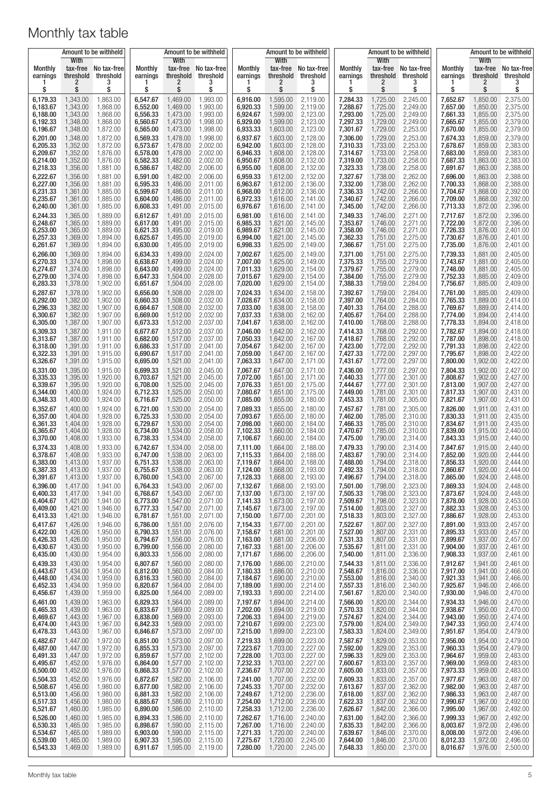|                                                          | Amount to be withheld                                    |                                                          | Amount to be withheld                                    |                                                          |                                                          | Amount to be withheld<br>With                            |                                                          |                                                          | Amount to be withheld<br>With                            |                                                          |                                                          | Amount to be withheld<br>With                            |                                                          |                                                          |
|----------------------------------------------------------|----------------------------------------------------------|----------------------------------------------------------|----------------------------------------------------------|----------------------------------------------------------|----------------------------------------------------------|----------------------------------------------------------|----------------------------------------------------------|----------------------------------------------------------|----------------------------------------------------------|----------------------------------------------------------|----------------------------------------------------------|----------------------------------------------------------|----------------------------------------------------------|----------------------------------------------------------|
| <b>Monthly</b><br>earnings<br>\$                         | With<br>threshold<br>2<br>\$                             | tax-free No tax-free<br>threshold<br>S                   | Monthly<br>earnings<br>\$                                | With<br>tax-free<br>threshold<br>2<br>\$                 | No tax-free<br>threshold<br>3<br>\$                      | <b>Monthly</b><br>earnings<br>\$                         | threshold<br>2<br>\$                                     | tax-free No tax-free<br>threshold<br>3<br>\$             | <b>Monthly</b><br>earnings<br>\$                         | threshold<br>2<br>\$                                     | tax-free No tax-free<br>threshold<br>3<br>\$             | Monthly<br>earnings<br>\$                                | threshold<br>2<br>\$                                     | tax-free No tax-free<br>threshold<br>\$                  |
| 6,179.33<br>6,183.67<br>6,188.00<br>6,192.33             | 1,343.00<br>1,343.00<br>1,343.00<br>1,348.00<br>1,348.00 | 1,863.00<br>1,868.00<br>1,868.00<br>1,868.00             | 6,547.67<br>6,552.00<br>6,556.33<br>6,560.67             | 1,469.00<br>1,469.00<br>1,473.00<br>1,473.00             | 1,993.00<br>1,993.00<br>1,993.00<br>1,998.00             | 6,916.00<br>6,920.33<br>6,924.67<br>6,929.00             | 1,595.00<br>1,599.00<br>1,599.00<br>1,599.00             | 2,119.00<br>2.119.00<br>2,123.00<br>2,123.00<br>2,123.00 | 7,284.33<br>7,288.67<br>7,293.00<br>7,297.33<br>7,301.67 | 1,725.00<br>1,725.00<br>1,725.00<br>1,729.00             | 2,245.00<br>2,249.00<br>2,249.00<br>2,249.00<br>2,253.00 | 7,652.67<br>7,657.00<br>7,661.33<br>7,665.67<br>7,670.00 | 1,850.00<br>1,850.00<br>1,855.00<br>1,855.00<br>1,855.00 | 2,375.00<br>2,375.00<br>2,375.00<br>2,379.00<br>2,379.00 |
| 6,196.67<br>6,201.00<br>6,205.33<br>6,209.67<br>6,214.00 | 1,348.00<br>1,352.00<br>1,352.00<br>1,352.00             | 1,872.00<br>1,872.00<br>1,872.00<br>1,876.00<br>1,876.00 | 6,565.00<br>6,569.33<br>6,573.67<br>6,578.00<br>6,582.33 | 1,473.00<br>1,478.00<br>1,478.00<br>1,478.00<br>1,482.00 | 1,998.00<br>1,998.00<br>2,002.00<br>2,002.00<br>2,002.00 | 6,933.33<br>6,937.67<br>6,942.00<br>6,946.33<br>6,950.67 | 1,603.00<br>1,603.00<br>1,603.00<br>1,608.00<br>1,608.00 | 2,128.00<br>2,128.00<br>2,128.00<br>2,132.00             | 7,306.00<br>7,310.33<br>7,314.67<br>7,319.00             | 1,729.00<br>1,729.00<br>1,733.00<br>1,733.00<br>1,733.00 | 2,253.00<br>2,253.00<br>2,258.00<br>2,258.00             | 7,674.33<br>7,678.67<br>7,683.00<br>7,687.33             | 1,859.00<br>1,859.00<br>1,859.00<br>1,863.00             | 2,379.00<br>2,383.00<br>2,383.00<br>2,383.00             |
| 6,218.33                                                 | 1,356.00                                                 | 1,881.00                                                 | 6,586.67                                                 | 1,482.00                                                 | 2,006.00                                                 | 6,955.00                                                 | 1,608.00                                                 | 2,132.00                                                 | 7,323.33                                                 | 1,738.00                                                 | 2,258.00                                                 | 7,691.67                                                 | 1,863.00                                                 | 2,388.00                                                 |
| 6,222.67                                                 | 1,356.00                                                 | 1,881.00                                                 | 6,591.00                                                 | 1,482.00                                                 | 2,006.00                                                 | 6,959.33                                                 | 1,612.00                                                 | 2,132.00                                                 | 7,327.67                                                 | 1,738.00                                                 | 2,262.00                                                 | 7,696.00                                                 | 1,863.00                                                 | 2,388.00                                                 |
| 6,227.00                                                 | 1,356.00                                                 | 1,881.00                                                 | 6,595.33                                                 | 1,486.00                                                 | 2,011.00                                                 | 6,963.67                                                 | 1,612.00                                                 | 2,136.00                                                 | 7,332.00                                                 | 1,738.00                                                 | 2,262.00                                                 | 7,700.33                                                 | 1,868.00                                                 | 2,388.00                                                 |
| 6,231.33                                                 | 1,361.00                                                 | 1,885.00                                                 | 6,599.67                                                 | 1,486.00                                                 | 2,011.00                                                 | 6,968.00                                                 | 1,612.00                                                 | 2,136.00                                                 | 7,336.33                                                 | 1,742.00                                                 | 2,266.00                                                 | 7,704.67                                                 | 1,868.00                                                 | 2,392.00                                                 |
| 6,235.67                                                 | 1,361.00                                                 | 1,885.00                                                 | 6,604.00                                                 | 1,486.00                                                 | 2,011.00                                                 | 6,972.33                                                 | 1,616.00                                                 | 2,141.00                                                 | 7,340.67                                                 | 1,742.00                                                 | 2,266.00                                                 | 7,709.00                                                 | 1,868.00                                                 | 2,392.00                                                 |
| 6,240.00                                                 | 1,361.00                                                 | 1,885.00                                                 | 6,608.33                                                 | 1,491.00                                                 | 2,015.00                                                 | 6,976.67                                                 | 1,616.00                                                 | 2,141.00                                                 | 7,345.00                                                 | 1,742.00                                                 | 2,266.00                                                 | 7,713.33                                                 | 1,872.00                                                 | 2,396.00                                                 |
| 6,244.33                                                 | 1,365.00                                                 | 1,889.00                                                 | 6,612.67                                                 | 1,491.00                                                 | 2,015.00                                                 | 6,981.00                                                 | 1,616.00                                                 | 2,141.00                                                 | 7,349.33                                                 | 1,746.00                                                 | 2,271.00                                                 | 7,717.67                                                 | 1,872.00                                                 | 2,396.00                                                 |
| 6,248.67                                                 | 1,365.00                                                 | 1,889.00                                                 | 6,617.00                                                 | 1,491.00                                                 | 2,015.00                                                 | 6,985.33                                                 | 1,621.00                                                 | 2,145.00                                                 | 7,353.67                                                 | 1,746.00                                                 | 2,271.00                                                 | 7,722.00                                                 | 1,872.00                                                 | 2,396.00                                                 |
| 6,253.00                                                 | 1,365.00                                                 | 1,889.00                                                 | 6,621.33                                                 | 1,495.00                                                 | 2,019.00                                                 | 6,989.67                                                 | 1,621.00                                                 | 2,145.00                                                 | 7,358.00                                                 | 1,746.00                                                 | 2,271.00                                                 | 7,726.33                                                 | 1,876.00                                                 | 2,401.00                                                 |
| 6,257.33                                                 | 1,369.00                                                 | 1,894.00                                                 | 6,625.67                                                 | 1,495.00                                                 | 2,019.00                                                 | 6,994.00                                                 | 1,621.00                                                 | 2,145.00                                                 | 7,362.33                                                 | 1,751.00                                                 | 2,275.00                                                 | 7,730.67                                                 | 1,876.00                                                 | 2,401.00                                                 |
| 6,261.67                                                 | 1,369.00                                                 | 1,894.00                                                 | 6,630.00                                                 | 1,495.00                                                 | 2,019.00                                                 | 6,998.33                                                 | 1,625.00                                                 | 2,149.00                                                 | 7,366.67                                                 | 1,751.00                                                 | 2,275.00                                                 | 7,735.00                                                 | 1,876.00                                                 | 2,401.00                                                 |
| 6,266.00                                                 | 1,369.00                                                 | 1,894.00                                                 | 6,634.33                                                 | 1,499.00                                                 | 2,024.00                                                 | 7,002.67                                                 | 1,625.00                                                 | 2,149.00                                                 | 7,371.00                                                 | 1,751.00                                                 | 2,275.00                                                 | 7,739.33                                                 | 1,881.00                                                 | 2,405.00                                                 |
| 6,270.33                                                 | 1,374.00                                                 | 1,898.00                                                 | 6,638.67                                                 | 1,499.00                                                 | 2,024.00                                                 | 7,007.00                                                 | 1,625.00                                                 | 2,149.00                                                 | 7,375.33                                                 | 1,755.00                                                 | 2,279.00                                                 | 7,743.67                                                 | 1,881.00                                                 | 2,405.00                                                 |
| 6,274.67                                                 | 1,374.00                                                 | 1,898.00                                                 | 6,643.00                                                 | 1,499.00                                                 | 2,024.00                                                 | 7,011.33                                                 | 1,629.00                                                 | 2,154.00                                                 | 7,379.67                                                 | 1,755.00                                                 | 2,279.00                                                 | 7,748.00                                                 | 1,881.00                                                 | 2,405.00                                                 |
| 6,279.00                                                 | 1,374.00                                                 | 1,898.00                                                 | 6,647.33                                                 | 1,504.00                                                 | 2,028.00                                                 | 7,015.67                                                 | 1,629.00                                                 | 2.154.00                                                 | 7,384.00                                                 | 1,755.00                                                 | 2,279.00                                                 | 7,752.33                                                 | 1,885.00                                                 | 2,409.00                                                 |
| 6,283.33                                                 | 1,378.00                                                 | 1,902.00                                                 | 6,651.67                                                 | 1,504.00                                                 | 2,028.00                                                 | 7,020.00                                                 | 1,629.00                                                 | 2,154.00                                                 | 7,388.33                                                 | 1,759.00                                                 | 2,284.00                                                 | 7,756.67                                                 | 1,885.00                                                 | 2,409.00                                                 |
| 6,287.67                                                 | 1,378.00                                                 | 1,902.00                                                 | 6,656.00                                                 | 1,508.00                                                 | 2,028.00                                                 | 7,024.33                                                 | 1,634.00                                                 | 2,158.00                                                 | 7,392.67                                                 | 1,759.00                                                 | 2,284.00                                                 | 7,761.00                                                 | 1,885.00                                                 | 2,409.00                                                 |
| 6,292.00                                                 | 1,382.00                                                 | 1,902.00                                                 | 6,660.33                                                 | 1,508.00                                                 | 2,032.00                                                 | 7,028.67                                                 | 1,634.00                                                 | 2,158.00                                                 | 7,397.00                                                 | 1,764.00                                                 | 2,284.00                                                 | 7,765.33                                                 | 1,889.00                                                 | 2,414.00                                                 |
| 6,296.33                                                 | 1,382.00                                                 | 1,907.00                                                 | 6,664.67                                                 | 1,508.00                                                 | 2,032.00                                                 | 7,033.00                                                 | 1,638.00                                                 | 2,158.00                                                 | 7,401.33                                                 | 1,764.00                                                 | 2,288.00                                                 | 7,769.67                                                 | 1,889.00                                                 | 2,414.00                                                 |
| 6,300.67                                                 | 1,382.00                                                 | 1,907.00                                                 | 6,669.00                                                 | 1,512.00                                                 | 2,032.00                                                 | 7,037.33                                                 | 1,638.00                                                 | 2,162.00                                                 | 7,405.67                                                 | 1,764.00                                                 | 2,288.00                                                 | 7,774.00                                                 | 1,894.00                                                 | 2,414.00                                                 |
| 6,305.00                                                 | 1,387.00                                                 | 1,907.00                                                 | 6,673.33                                                 | 1,512.00                                                 | 2,037.00                                                 | 7,041.67                                                 | 1,638.00                                                 | 2,162.00                                                 | 7,410.00                                                 | 1,768.00                                                 | 2,288.00                                                 | 7,778.33                                                 | 1,894.00                                                 | 2,418.00                                                 |
| 6,309.33                                                 | 1,387.00                                                 | 1,911.00                                                 | 6,677.67                                                 | 1,512.00                                                 | 2,037.00                                                 | 7,046.00                                                 | 1,642.00                                                 | 2,162.00                                                 | 7,414.33                                                 | 1,768.00                                                 | 2,292.00                                                 | 7,782.67                                                 | 1,894.00                                                 | 2,418.00                                                 |
| 6,313.67                                                 | 1,387.00                                                 | 1,911.00                                                 | 6,682.00                                                 | 1,517.00                                                 | 2,037.00                                                 | 7,050.33                                                 | 1,642.00                                                 | 2,167.00                                                 | 7,418.67                                                 | 1,768.00                                                 | 2,292.00                                                 | 7,787.00                                                 | 1,898.00                                                 | 2,418.00                                                 |
| 6,318.00                                                 | 1,391.00                                                 | 1,911.00                                                 | 6,686.33                                                 | 1,517.00                                                 | 2,041.00                                                 | 7,054.67                                                 | 1,642.00                                                 | 2,167.00                                                 | 7,423.00                                                 | 1,772.00                                                 | 2,292.00                                                 | 7,791.33                                                 | 1,898.00                                                 | 2,422.00                                                 |
| 6,322.33                                                 | 1,391.00                                                 | 1,915.00                                                 | 6,690.67                                                 | 1,517.00                                                 | 2,041.00                                                 | 7,059.00                                                 | 1,647.00                                                 | 2,167.00                                                 | 7,427.33                                                 | 1,772.00                                                 | 2,297.00                                                 | 7,795.67                                                 | 1,898.00                                                 | 2,422.00                                                 |
| 6,326.67                                                 | 1,391.00                                                 | 1,915.00                                                 | 6,695.00                                                 | 1,521.00                                                 | 2,041.00                                                 | 7,063.33                                                 | 1,647.00                                                 | 2,171.00                                                 | 7,431.67                                                 | 1,772.00                                                 | 2,297.00                                                 | 7,800.00                                                 | 1,902.00                                                 | 2,422.00                                                 |
| 6,331.00                                                 | 1,395.00                                                 | 1,915.00                                                 | 6,699.33                                                 | 1,521.00                                                 | 2,045.00                                                 | 7,067.67                                                 | 1,647.00                                                 | 2,171.00                                                 | 7,436.00                                                 | 1,777.00                                                 | 2,297.00                                                 | 7,804.33                                                 | 1,902.00                                                 | 2,427.00                                                 |
| 6,335.33                                                 | 1,395.00                                                 | 1,920.00                                                 | 6,703.67                                                 | 1,521.00                                                 | 2,045.00                                                 | 7,072.00                                                 | 1,651.00                                                 | 2,171.00                                                 | 7,440.33                                                 | 1,777.00                                                 | 2,301.00                                                 | 7,808.67                                                 | 1,902.00                                                 | 2,427.00                                                 |
| 6,339.67                                                 | 1,395.00                                                 | 1,920.00                                                 | 6,708.00                                                 | 1,525.00                                                 | 2,045.00                                                 | 7,076.33                                                 | 1,651.00                                                 | 2,175.00                                                 | 7,444.67                                                 | 1,777.00                                                 | 2,301.00                                                 | 7,813.00                                                 | 1,907.00                                                 | 2,427.00                                                 |
| 6,344.00                                                 | 1,400.00                                                 | 1,924.00                                                 | 6,712.33                                                 | 1,525.00                                                 | 2,050.00                                                 | 7,080.67                                                 | 1,651.00                                                 | 2,175.00                                                 | 7,449.00                                                 | 1,781.00                                                 | 2,301.00                                                 | 7,817.33                                                 | 1,907.00                                                 | 2,431.00                                                 |
| 6,348.33                                                 | 1,400.00                                                 | 1,924.00                                                 | 6,716.67                                                 | 1,525.00                                                 | 2,050.00                                                 | 7,085.00                                                 | 1,655.00                                                 | 2,180.00                                                 | 7,453.33                                                 | 1,781.00                                                 | 2,305.00                                                 | 7,821.67                                                 | 1,907.00                                                 | 2,431.00                                                 |
| 6,352.67                                                 | 1,400.00                                                 | 1,924.00                                                 | 6,721.00                                                 | 1,530.00                                                 | 2,054.00                                                 | 7,089.33                                                 | 1,655.00                                                 | 2,180.00                                                 | 7,457.67                                                 | 1,781.00                                                 | 2,305.00                                                 | 7,826.00                                                 | 1,911.00                                                 | 2,431.00                                                 |
| 6,357.00                                                 | 1,404.00                                                 | 1,928.00                                                 | 6,725.33                                                 | 1,530.00                                                 | 2,054.00                                                 | 7,093.67                                                 | 1,655.00                                                 | 2,180.00                                                 | 7,462.00                                                 | 1,785.00                                                 | 2,310.00                                                 | 7,830.33                                                 | 1,911.00                                                 | 2,435.00                                                 |
| 6,361.33                                                 | 1,404.00                                                 | 1,928.00                                                 | 6,729.67                                                 | 1,530.00                                                 | 2,054.00                                                 | 7,098.00                                                 | 1,660.00                                                 | 2,184.00                                                 | 7,466.33                                                 | 1,785.00                                                 | 2,310.00                                                 | 7,834.67                                                 | 1,911.00                                                 | 2,435.00                                                 |
| 6,365.67<br>6,370.00<br>6,374.33<br>6,378.67<br>6,383.00 | 1,404.00<br>1,408.00<br>1,408.00<br>1,408.00             | 1,928.00<br>1,933.00<br>1,933.00<br>1,933.00<br>1,937.00 | 6,734.00<br>6,738.33<br>6,742.67<br>6,747.00<br>6,751.33 | 1,534.00<br>1,534.00<br>1,534.00<br>1,538.00<br>1,538.00 | 2,058.00<br>2,058.00<br>2,058.00<br>2,063.00<br>2,063.00 | 7,102.33<br>7,106.67<br>7,111.00<br>7,115.33             | 1,660.00<br>1,660.00<br>1,664.00<br>1,664.00<br>1,664.00 | 2,184.00<br>2,184.00<br>2,188.00<br>2,188.00<br>2,188.00 | 7,470.67<br>7,475.00<br>7,479.33<br>7,483.67<br>7,488.00 | 1,785.00<br>1,790.00<br>1,790.00<br>1,790.00             | 2,310.00<br>2,314.00<br>2,314.00<br>2,314.00<br>2.318.00 | 7,839.00<br>7,843.33<br>7,847.67<br>7,852.00<br>7.856.33 | 1,915.00<br>1,915.00<br>1,915.00<br>1,920.00<br>1,920.00 | 2,440.00<br>2,440.00<br>2.440.00<br>2.444.00<br>2,444.00 |
| 6,387.33<br>6,391.67<br>6.396.00<br>6,400.33             | 1,413.00<br>1,413.00<br>1,413.00<br>1,417.00<br>1,417.00 | 1,937.00<br>1,937.00<br>1,941.00<br>1,941.00             | 6,755.67<br>6,760.00<br>6,764.33<br>6,768.67             | 1,538.00<br>1,543.00<br>1,543.00<br>1,543.00             | 2,063.00<br>2,067.00<br>2,067.00<br>2,067.00             | 7,119.67<br>7,124.00<br>7,128.33<br>7,132.67<br>7,137.00 | 1,668.00<br>1,668.00<br>1,668.00<br>1,673.00             | 2,193.00<br>2,193.00<br>2,193.00<br>2,197.00             | 7,492.33<br>7,496.67<br>7,501.00<br>7,505.33             | 1,794.00<br>1,794.00<br>1,794.00<br>1,798.00<br>1,798.00 | 2,318.00<br>2,318.00<br>2,323.00<br>2,323.00             | 7,860.67<br>7,865.00<br>7,869.33<br>7,873.67             | 1,920.00<br>1,924.00<br>1,924.00<br>1,924.00             | 2,444.00<br>2,448.00<br>2,448.00<br>2.448.00             |
| 6,404.67                                                 | 1,421.00                                                 | 1,941.00                                                 | 6,773.00                                                 | 1,547.00                                                 | 2,071.00                                                 | 7,141.33                                                 | 1,673.00                                                 | 2,197.00                                                 | 7,509.67                                                 | 1,798.00                                                 | 2,323.00                                                 | 7,878.00                                                 | 1,928.00                                                 | 2,453.00                                                 |
| 6,409.00                                                 | 1,421.00                                                 | 1,946.00                                                 | 6,777.33                                                 | 1,547.00                                                 | 2,071.00                                                 | 7,145.67                                                 | 1,673.00                                                 | 2,197.00                                                 | 7,514.00                                                 | 1,803.00                                                 | 2,327.00                                                 | 7,882.33                                                 | 1,928.00                                                 | 2,453.00                                                 |
| 6,413.33                                                 | 1,421.00                                                 | 1,946.00                                                 | 6,781.67                                                 | 1,551.00                                                 | 2,071.00                                                 | 7,150.00                                                 | 1,677.00                                                 | 2,201.00                                                 | 7,518.33                                                 | 1,803.00                                                 | 2,327.00                                                 | 7,886.67                                                 | 1,928.00                                                 | 2,453.00                                                 |
| 6,417.67                                                 | 1,426.00                                                 | 1,946.00                                                 | 6,786.00                                                 | 1,551.00                                                 | 2,076.00                                                 | 7,154.33                                                 | 1,677.00                                                 | 2,201.00                                                 | 7,522.67                                                 | 1,807.00                                                 | 2,327.00                                                 | 7,891.00                                                 | 1,933.00                                                 | 2,457.00                                                 |
| 6,422.00                                                 | 1,426.00                                                 | 1,950.00                                                 | 6,790.33                                                 | 1,551.00                                                 | 2,076.00                                                 | 7,158.67                                                 | 1,681.00                                                 | 2,201.00                                                 | 7,527.00                                                 | 1,807.00                                                 | 2,331.00                                                 | 7,895.33                                                 | 1,933.00                                                 | 2,457.00                                                 |
| 6,426.33                                                 | 1,426.00                                                 | 1,950.00                                                 | 6,794.67                                                 | 1,556.00                                                 | 2,076.00                                                 | 7,163.00                                                 | 1,681.00                                                 | 2,206.00                                                 | 7,531.33                                                 | 1,807.00                                                 | 2,331.00                                                 | 7,899.67                                                 | 1,937.00                                                 | 2,457.00                                                 |
| 6,430.67                                                 | 1,430.00                                                 | 1,950.00                                                 | 6,799.00                                                 | 1,556.00                                                 | 2,080.00                                                 | 7,167.33                                                 | 1,681.00                                                 | 2,206.00                                                 | 7,535.67                                                 | 1,811.00                                                 | 2,331.00                                                 | 7,904.00                                                 | 1,937.00                                                 | 2,461.00                                                 |
| 6,435.00                                                 | 1,430.00                                                 | 1,954.00                                                 | 6,803.33                                                 | 1,556.00                                                 | 2,080.00                                                 | 7,171.67                                                 | 1,686.00                                                 | 2,206.00                                                 | 7,540.00                                                 | 1,811.00                                                 | 2,336.00                                                 | 7,908.33                                                 | 1,937.00                                                 | 2,461.00                                                 |
| 6,439.33                                                 | 1,430.00                                                 | 1,954.00                                                 | 6,807.67                                                 | 1,560.00                                                 | 2,080.00                                                 | 7,176.00                                                 | 1,686.00                                                 | 2,210.00                                                 | 7,544.33                                                 | 1,811.00                                                 | 2,336.00                                                 | 7,912.67                                                 | 1,941.00                                                 | 2,461.00                                                 |
| 6,443.67                                                 | 1.434.00                                                 | 1,954.00                                                 | 6,812.00                                                 | 1,560.00                                                 | 2,084.00                                                 | 7,180.33                                                 | 1,686.00                                                 | 2,210.00                                                 | 7,548.67                                                 | 1,816.00                                                 | 2,336.00                                                 | 7,917.00                                                 | 1.941.00                                                 | 2,466.00                                                 |
| 6,448.00<br>6,452.33<br>6,456.67<br>6,461.00             | 1,434.00<br>1,434.00<br>1,439.00<br>1,439.00             | 1,959.00<br>1,959.00<br>1,959.00<br>1,963.00             | 6,816.33<br>6,820.67<br>6,825.00<br>6,829.33             | 1,560.00<br>1,564.00<br>1,564.00<br>1,564.00             | 2,084.00<br>2,084.00<br>2,089.00<br>2,089.00             | 7.184.67<br>7,189.00<br>7,193.33<br>7,197.67             | 1,690.00<br>1,690.00<br>1,690.00<br>1,694.00             | 2,210.00<br>2,214.00<br>2,214.00<br>2,214.00             | 7,553.00<br>7,557.33<br>7,561.67<br>7,566.00             | 1,816.00<br>1,816.00<br>1,820.00<br>1,820.00             | 2,340.00<br>2,340.00<br>2,340.00<br>2,344.00             | 7,921.33<br>7,925.67<br>7,930.00<br>7,934.33<br>7,938.67 | 1,941.00<br>1,946.00<br>1,946.00<br>1,946.00             | 2,466.00<br>2,466.00<br>2,470.00<br>2,470.00             |
| 6,465.33<br>6,469.67<br>6,474.00<br>6,478.33<br>6,482.67 | 1,439.00<br>1,443.00<br>1,443.00<br>1,443.00<br>1,447.00 | 1,963.00<br>1,967.00<br>1,967.00<br>1,967.00<br>1,972.00 | 6,833.67<br>6,838.00<br>6,842.33<br>6,846.67<br>6,851.00 | 1,569.00<br>1,569.00<br>1,569.00<br>1,573.00<br>1,573.00 | 2,089.00<br>2,093.00<br>2,093.00<br>2,097.00<br>2,097.00 | 7,202.00<br>7,206.33<br>7,210.67<br>7,215.00<br>7,219.33 | 1,694.00<br>1,694.00<br>1,699.00<br>1,699.00<br>1,699.00 | 2,219.00<br>2,219.00<br>2,223.00<br>2,223.00<br>2,223.00 | 7,570.33<br>7,574.67<br>7,579.00<br>7,583.33<br>7,587.67 | 1,820.00<br>1,824.00<br>1,824.00<br>1,824.00<br>1,829.00 | 2,344.00<br>2,344.00<br>2,349.00<br>2,349.00<br>2,353.00 | 7,943.00<br>7,947.33<br>7,951.67<br>7,956.00             | 1,950.00<br>1,950.00<br>1,950.00<br>1,954.00<br>1,954.00 | 2,470.00<br>2,474.00<br>2,474.00<br>2,479.00<br>2,479.00 |
| 6,487.00                                                 | 1,447.00                                                 | 1,972.00                                                 | 6,855.33                                                 | 1,573.00                                                 | 2,097.00                                                 | 7,223.67                                                 | 1,703.00                                                 | 2,227.00                                                 | 7,592.00                                                 | 1,829.00                                                 | 2,353.00                                                 | 7,960.33                                                 | 1,954.00                                                 | 2,479.00                                                 |
| 6,491.33                                                 | 1,447.00                                                 | 1,972.00                                                 | 6,859.67                                                 | 1,577.00                                                 | 2,102.00                                                 | 7,228.00                                                 | 1,703.00                                                 | 2,227.00                                                 | 7,596.33                                                 | 1,829.00                                                 | 2,353.00                                                 | 7,964.67                                                 | 1,959.00                                                 | 2,483.00                                                 |
| 6,495.67                                                 | 1,452.00                                                 | 1,976.00                                                 | 6,864.00                                                 | 1,577.00                                                 | 2,102.00                                                 | 7,232.33                                                 | 1,703.00                                                 | 2,227.00                                                 | 7,600.67                                                 | 1,833.00                                                 | 2,357.00                                                 | 7,969.00                                                 | 1,959.00                                                 | 2,483.00                                                 |
| 6,500.00                                                 | 1,452.00                                                 | 1,976.00                                                 | 6,868.33                                                 | 1,577.00                                                 | 2,102.00                                                 | 7,236.67                                                 | 1,707.00                                                 | 2,232.00                                                 | 7,605.00                                                 | 1,833.00                                                 | 2,357.00                                                 | 7,973.33                                                 | 1,959.00                                                 | 2,483.00                                                 |
| 6,504.33                                                 | 1,452.00                                                 | 1,976.00                                                 | 6,872.67                                                 | 1,582.00                                                 | 2,106.00                                                 | 7,241.00                                                 | 1,707.00                                                 | 2,232.00                                                 | 7,609.33                                                 | 1,833.00                                                 | 2,357.00                                                 | 7,977.67                                                 | 1,963.00                                                 | 2,487.00                                                 |
| 6,508.67                                                 | 1,456.00                                                 | 1,980.00                                                 | 6,877.00                                                 | 1,582.00                                                 | 2,106.00                                                 | 7,245.33                                                 | 1,707.00                                                 | 2,232.00                                                 | 7,613.67                                                 | 1,837.00                                                 | 2,362.00                                                 | 7,982.00                                                 | 1,963.00                                                 | 2,487.00                                                 |
| 6,513.00                                                 | 1,456.00                                                 | 1,980.00                                                 | 6,881.33                                                 | 1,582.00                                                 | 2,106.00                                                 | 7,249.67                                                 | 1,712.00                                                 | 2,236.00                                                 | 7,618.00                                                 | 1,837.00                                                 | 2,362.00                                                 | 7,986.33                                                 | 1,963.00                                                 | 2,487.00                                                 |
| 6,517.33                                                 | 1,456.00                                                 | 1,980.00                                                 | 6,885.67                                                 | 1,586.00                                                 | 2,110.00                                                 | 7,254.00                                                 | 1,712.00                                                 | 2,236.00                                                 | 7,622.33                                                 | 1,837.00                                                 | 2,362.00                                                 | 7,990.67                                                 | 1,967.00                                                 | 2,492.00                                                 |
| 6,521.67                                                 | 1,460.00                                                 | 1,985.00                                                 | 6,890.00                                                 | 1,586.00                                                 | 2,110.00                                                 | 7,258.33                                                 | 1,712.00                                                 | 2,236.00                                                 | 7,626.67                                                 | 1,842.00                                                 | 2,366.00                                                 | 7,995.00                                                 | 1,967.00                                                 | 2,492.00                                                 |
| 6,526.00                                                 | 1,460.00                                                 | 1,985.00                                                 | 6,894.33                                                 | 1,586.00                                                 | 2,110.00                                                 | 7,262.67                                                 | 1,716.00                                                 | 2,240.00                                                 | 7,631.00                                                 | 1,842.00                                                 | 2,366.00                                                 | 7,999.33                                                 | 1,967.00                                                 | 2,492.00                                                 |
| 6,530.33                                                 | 1,465.00                                                 | 1,985.00                                                 | 6,898.67                                                 | 1,590.00                                                 | 2,115.00                                                 | 7,267.00                                                 | 1,716.00                                                 | 2,240.00                                                 | 7,635.33                                                 | 1,842.00                                                 | 2,366.00                                                 | 8,003.67                                                 | 1,972.00                                                 | 2,496.00                                                 |
| 6,534.67                                                 | 1,465.00                                                 | 1,989.00                                                 | 6,903.00                                                 | 1,590.00                                                 | 2,115.00                                                 | 7,271.33                                                 | 1,720.00                                                 | 2,240.00                                                 | 7,639.67                                                 | 1,846.00                                                 | 2,370.00                                                 | 8,008.00                                                 | 1,972.00                                                 | 2,496.00                                                 |
| 6,539.00                                                 | 1,465.00                                                 | 1,989.00                                                 | 6,907.33                                                 | 1,595.00                                                 | 2,115.00                                                 | 7,275.67                                                 | 1,720.00                                                 | 2,245.00                                                 | 7,644.00                                                 | 1,846.00                                                 | 2,370.00                                                 | 8,012.33                                                 | 1,972.00                                                 | 2,496.00                                                 |
| 6,543.33                                                 | 1,469.00                                                 | 1,989.00                                                 | 6,911.67                                                 | 1,595.00                                                 | 2,119.00                                                 | 7,280.00                                                 | 1,720.00                                                 | 2,245.00                                                 | 7,648.33                                                 | 1,850.00                                                 | 2,370.00                                                 | 8,016.67                                                 | 1,976.00                                                 | 2,500.00                                                 |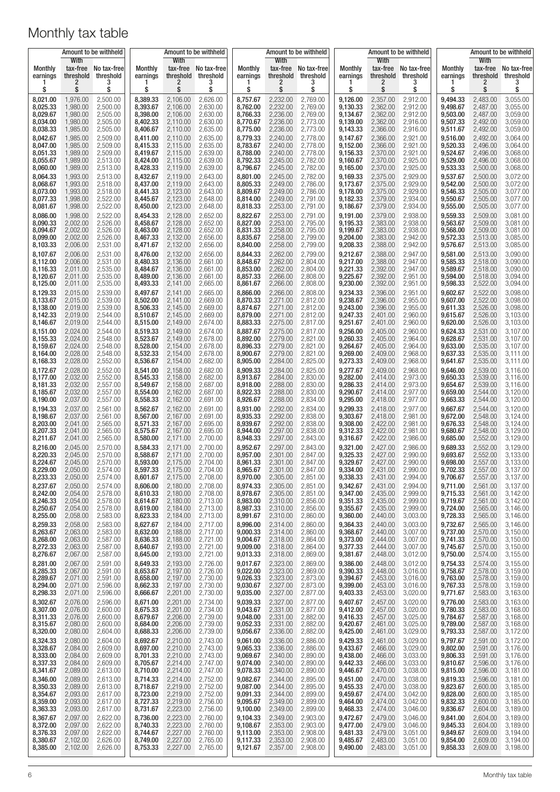|                                                                      |                                                                      | Amount to be withheld                                                | Amount to be withheld                                                |                                                                      |                                                                      | Amount to be withheld<br>With                                        |                                                                      |                                                                            |                                                                      |                                                                      | Amount to be withheld                                                | Amount to be withheld<br>With                                        |                                                                      |                                                                      |
|----------------------------------------------------------------------|----------------------------------------------------------------------|----------------------------------------------------------------------|----------------------------------------------------------------------|----------------------------------------------------------------------|----------------------------------------------------------------------|----------------------------------------------------------------------|----------------------------------------------------------------------|----------------------------------------------------------------------------|----------------------------------------------------------------------|----------------------------------------------------------------------|----------------------------------------------------------------------|----------------------------------------------------------------------|----------------------------------------------------------------------|----------------------------------------------------------------------|
| <b>Monthly</b><br>earnings<br>\$                                     | With<br>threshold<br>2<br>\$                                         | tax-free No tax-free<br>threshold<br>\$                              | <b>Monthly</b><br>earnings<br>\$                                     | With<br>threshold<br>2<br>\$                                         | tax-free No tax-free<br>threshold<br>3<br>\$                         | <b>Monthly</b><br>earnings<br>\$                                     | threshold<br>2<br>\$                                                 | tax-free No tax-free<br>threshold<br>3<br>\$                               | <b>Monthly</b><br>earnings<br>\$                                     | With<br>threshold<br>2<br>\$                                         | tax-free No tax-free<br>threshold<br>\$                              | <b>Monthly</b><br>earnings<br>\$                                     | threshold<br>2<br>\$                                                 | tax-free No tax-free<br>threshold<br>\$                              |
| 8,021.00                                                             | 1,976.00                                                             | 2,500.00                                                             | 8,389.33                                                             | 2,106.00                                                             | 2,626.00                                                             | 8,757.67                                                             | 2,232.00                                                             | 2,769.00                                                                   | 9,126.00                                                             | 2,357.00                                                             | 2,912.00                                                             | 9,494.33                                                             | 2,483.00                                                             | 3,055.00                                                             |
| 8,025.33                                                             | 1,980.00                                                             | 2,500.00                                                             | 8,393.67                                                             | 2,106.00                                                             | 2,630.00                                                             | 8,762.00                                                             | 2,232.00                                                             | 2,769.00                                                                   | 9,130.33                                                             | 2,362.00                                                             | 2,912.00                                                             | 9,498.67                                                             | 2,487.00                                                             | 3,055.00                                                             |
| 8,029.67                                                             | 1,980.00                                                             | 2,505.00                                                             | 8,398.00                                                             | 2,106.00                                                             | 2,630.00                                                             | 8,766.33                                                             | 2,236.00                                                             | 2,769.00                                                                   | 9,134.67                                                             | 2,362.00                                                             | 2,912.00                                                             | 9,503.00                                                             | 2,487.00                                                             | 3,059.00                                                             |
| 8,034.00                                                             | 1,980.00                                                             | 2,505.00                                                             | 8,402.33                                                             | 2,110.00                                                             | 2,630.00                                                             | 8,770.67                                                             | 2,236.00                                                             | 2,773.00                                                                   | 9,139.00                                                             | 2,362.00                                                             | 2,916.00                                                             | 9,507.33                                                             | 2,492.00                                                             | 3,059.00                                                             |
| 8,038.33                                                             | 1,985.00                                                             | 2,505.00                                                             | 8,406.67                                                             | 2,110.00                                                             | 2,635.00                                                             | 8,775.00                                                             | 2,236.00                                                             | 2,773.00                                                                   | 9,143.33                                                             | 2,366.00                                                             | 2,916.00                                                             | 9,511.67                                                             | 2,492.00                                                             | 3,059.00                                                             |
| 8,042.67                                                             | 1,985.00                                                             | 2,509.00                                                             | 8,411.00                                                             | 2,110.00                                                             | 2,635.00                                                             | 8,779.33                                                             | 2,240.00                                                             | 2,778.00                                                                   | 9,147.67                                                             | 2,366.00                                                             | 2,921.00                                                             | 9,516.00                                                             | 2,492.00                                                             | 3,064.00                                                             |
| 8,047.00                                                             | 1,985.00                                                             | 2,509.00                                                             | 8,415.33                                                             | 2,115.00                                                             | 2,635.00                                                             | 8,783.67                                                             | 2,240.00                                                             | 2,778.00                                                                   | 9,152.00                                                             | 2,366.00                                                             | 2,921.00                                                             | 9,520.33                                                             | 2,496.00                                                             | 3,064.00                                                             |
| 8,051.33                                                             | 1,989.00                                                             | 2,509.00                                                             | 8,419.67                                                             | 2,115.00                                                             | 2,639.00                                                             | 8,788.00                                                             | 2,240.00                                                             | 2,778.00                                                                   | 9,156.33                                                             | 2,370.00                                                             | 2,921.00                                                             | 9,524.67                                                             | 2,496.00                                                             | 3,068.00                                                             |
| 8,055.67                                                             | 1,989.00                                                             | 2,513.00                                                             | 8,424.00                                                             | 2,115.00                                                             | 2,639.00                                                             | 8,792.33                                                             | 2,245.00                                                             | 2,782.00                                                                   | 9,160.67                                                             | 2,370.00                                                             | 2,925.00                                                             | 9,529.00                                                             | 2,496.00                                                             | 3,068.00                                                             |
| 8,060.00                                                             | 1,989.00                                                             | 2,513.00                                                             | 8,428.33                                                             | 2,119.00                                                             | 2,639.00                                                             | 8,796.67                                                             | 2,245.00                                                             | 2,782.00                                                                   | 9,165.00                                                             | 2,370.00                                                             | 2,925.00                                                             | 9,533.33                                                             | 2,500.00                                                             | 3,068.00                                                             |
| 8,064.33                                                             | 1,993.00                                                             | 2,513.00                                                             | 8,432.67                                                             | 2,119.00                                                             | 2,643.00                                                             | 8,801.00                                                             | 2,245.00                                                             | 2,782.00                                                                   | 9,169.33                                                             | 2,375.00                                                             | 2,929.00                                                             | 9,537.67                                                             | 2,500.00                                                             | 3,072.00                                                             |
| 8,068.67                                                             | 1,993.00                                                             | 2,518.00                                                             | 8,437.00                                                             | 2,119.00                                                             | 2,643.00                                                             | 8,805.33                                                             | 2,249.00                                                             | 2,786.00                                                                   | 9,173.67                                                             | 2,375.00                                                             | 2,929.00                                                             | 9,542.00                                                             | 2,500.00                                                             | 3,072.00                                                             |
| 8,073.00                                                             | 1,993.00                                                             | 2,518.00                                                             | 8,441.33                                                             | 2,123.00                                                             | 2,643.00                                                             | 8,809.67                                                             | 2,249.00                                                             | 2,786.00                                                                   | 9,178.00                                                             | 2,375.00                                                             | 2,929.00                                                             | 9,546.33                                                             | 2,505.00                                                             | 3,077.00                                                             |
| 8,077.33                                                             | 1,998.00                                                             | 2,522.00                                                             | 8,445.67                                                             | 2,123.00                                                             | 2,648.00                                                             | 8,814.00                                                             | 2,249.00                                                             | 2,791.00                                                                   | 9,182.33                                                             | 2,379.00                                                             | 2,934.00                                                             | 9,550.67                                                             | 2,505.00                                                             | 3,077.00                                                             |
| 8,081.67                                                             | 1,998.00                                                             | 2,522.00                                                             | 8,450.00                                                             | 2,123.00                                                             | 2,648.00                                                             | 8,818.33                                                             | 2,253.00                                                             | 2,791.00                                                                   | 9,186.67                                                             | 2,379.00                                                             | 2,934.00                                                             | 9,555.00                                                             | 2,505.00                                                             | 3,077.00                                                             |
| 8,086.00                                                             | 1,998.00                                                             | 2,522.00                                                             | 8,454.33                                                             | 2,128.00                                                             | 2,652.00                                                             | 8,822.67                                                             | 2,253.00                                                             | 2,791.00                                                                   | 9,191.00                                                             | 2,379.00                                                             | 2,938.00                                                             | 9,559.33                                                             | 2,509.00                                                             | 3,081.00                                                             |
| 8,090.33                                                             | 2,002.00                                                             | 2,526.00                                                             | 8,458.67                                                             | 2,128.00                                                             | 2,652.00                                                             | 8,827.00                                                             | 2,253.00                                                             | 2,795.00                                                                   | 9,195.33                                                             | 2,383.00                                                             | 2,938.00                                                             | 9,563.67                                                             | 2,509.00                                                             | 3,081.00                                                             |
| 8,094.67                                                             | 2,002.00                                                             | 2,526.00                                                             | 8,463.00                                                             | 2,128.00                                                             | 2,652.00                                                             | 8,831.33                                                             | 2,258.00                                                             | 2,795.00                                                                   | 9,199.67                                                             | 2,383.00                                                             | 2,938.00                                                             | 9,568.00                                                             | 2,509.00                                                             | 3,081.00                                                             |
| 8,099.00                                                             | 2.002.00                                                             | 2,526.00                                                             | 8,467.33                                                             | 2,132.00                                                             | 2,656.00                                                             | 8,835.67                                                             | 2,258.00                                                             | 2,799.00                                                                   | 9,204.00                                                             | 2,383.00                                                             | 2,942.00                                                             | 9,572.33                                                             | 2,513.00                                                             | 3,085.00                                                             |
| 8,103.33                                                             | 2,006.00                                                             | 2,531.00                                                             | 8,471.67                                                             | 2,132.00                                                             | 2,656.00                                                             | 8,840.00                                                             | 2,258.00                                                             | 2,799.00                                                                   | 9,208.33                                                             | 2,388.00                                                             | 2,942.00                                                             | 9,576.67                                                             | 2,513.00                                                             | 3,085.00                                                             |
| 8,107.67                                                             | 2,006.00                                                             | 2,531.00                                                             | 8,476.00                                                             | 2,132.00                                                             | 2,656.00                                                             | 8,844.33                                                             | 2,262.00                                                             | 2,799.00                                                                   | 9,212.67                                                             | 2,388.00                                                             | 2,947.00                                                             | 9,581.00                                                             | 2,513.00                                                             | 3,090.00                                                             |
| 8,112.00                                                             | 2,006.00                                                             | 2,531.00                                                             | 8,480.33                                                             | 2,136.00                                                             | 2,661.00                                                             | 8,848.67                                                             | 2,262.00                                                             | 2,804.00                                                                   | 9,217.00                                                             | 2,388.00                                                             | 2,947.00                                                             | 9,585.33                                                             | 2,518.00                                                             | 3,090.00                                                             |
| 8,116.33                                                             | 2,011.00                                                             | 2,535.00                                                             | 8,484.67                                                             | 2,136.00                                                             | 2,661.00                                                             | 8,853.00                                                             | 2,262.00                                                             | 2,804.00                                                                   | 9,221.33                                                             | 2,392.00                                                             | 2,947.00                                                             | 9,589.67                                                             | 2,518.00                                                             | 3,090.00                                                             |
| 8,120.67                                                             | 2,011.00                                                             | 2,535.00                                                             | 8,489.00                                                             | 2,136.00                                                             | 2,661.00                                                             | 8,857.33                                                             | 2,266.00                                                             | 2,808.00                                                                   | 9,225.67                                                             | 2,392.00                                                             | 2,951.00                                                             | 9,594.00                                                             | 2,518.00                                                             | 3,094.00                                                             |
| 8,125.00                                                             | 2,011.00                                                             | 2,535.00                                                             | 8,493.33                                                             | 2,141.00                                                             | 2,665.00                                                             | 8,861.67                                                             | 2,266.00                                                             | 2,808.00                                                                   | 9,230.00                                                             | 2,392.00                                                             | 2,951.00                                                             | 9,598.33                                                             | 2,522.00                                                             | 3,094.00                                                             |
| 8,129.33                                                             | 2,015.00                                                             | 2,539.00                                                             | 8,497.67                                                             | 2,141.00                                                             | 2,665.00                                                             | 8,866.00                                                             | 2,266.00                                                             | 2,808.00                                                                   | 9,234.33                                                             | 2,396.00                                                             | 2,951.00                                                             | 9,602.67                                                             | 2,522.00                                                             | 3,098.00                                                             |
| 8,133.67                                                             | 2,015.00                                                             | 2,539.00                                                             | 8,502.00                                                             | 2,141.00                                                             | 2,669.00                                                             | 8,870.33                                                             | 2,271.00                                                             | 2,812.00                                                                   | 9,238.67                                                             | 2,396.00                                                             | 2,955.00                                                             | 9,607.00                                                             | 2,522.00                                                             | 3,098.00                                                             |
| 8,138.00                                                             | 2,019.00                                                             | 2,539.00                                                             | 8,506.33                                                             | 2,145.00                                                             | 2,669.00                                                             | 8,874.67                                                             | 2,271.00                                                             | 2,812.00                                                                   | 9,243.00                                                             | 2,396.00                                                             | 2,955.00                                                             | 9,611.33                                                             | 2,526.00                                                             | 3,098.00                                                             |
| 8,142.33                                                             | 2,019.00                                                             | 2,544.00                                                             | 8,510.67                                                             | 2,145.00                                                             | 2,669.00                                                             | 8,879.00                                                             | 2,271.00                                                             | 2,812.00                                                                   | 9,247.33                                                             | 2,401.00                                                             | 2,960.00                                                             | 9,615.67                                                             | 2,526.00                                                             | 3,103.00                                                             |
| 8,146.67                                                             | 2,019.00                                                             | 2,544.00                                                             | 8,515.00                                                             | 2,149.00                                                             | 2,674.00                                                             | 8,883.33                                                             | 2,275.00                                                             | 2,817.00                                                                   | 9,251.67                                                             | 2,401.00                                                             | 2,960.00                                                             | 9,620.00                                                             | 2,526.00                                                             | 3,103.00                                                             |
| 8,151.00                                                             | 2,024.00                                                             | 2,544.00                                                             | 8,519.33                                                             | 2,149.00                                                             | 2,674.00                                                             | 8,887.67                                                             | 2,275.00                                                             | 2,817.00                                                                   | 9,256.00                                                             | 2,405.00                                                             | 2,960.00                                                             | 9,624.33                                                             | 2,531.00                                                             | 3,107.00                                                             |
| 8,155.33                                                             | 2,024.00                                                             | 2,548.00                                                             | 8,523.67                                                             | 2,149.00                                                             | 2,678.00                                                             | 8,892.00                                                             | 2,279.00                                                             | 2,821.00                                                                   | 9,260.33                                                             | 2,405.00                                                             | 2,964.00                                                             | 9,628.67                                                             | 2,531.00                                                             | 3,107.00                                                             |
| 8,159.67                                                             | 2,024.00                                                             | 2,548.00                                                             | 8,528.00                                                             | 2,154.00                                                             | 2,678.00                                                             | 8,896.33                                                             | 2,279.00                                                             | 2,821.00                                                                   | 9,264.67                                                             | 2,405.00                                                             | 2,964.00                                                             | 9,633.00                                                             | 2,535.00                                                             | 3,107.00                                                             |
| 8,164.00                                                             | 2,028.00                                                             | 2,548.00                                                             | 8,532.33                                                             | 2,154.00                                                             | 2,678.00                                                             | 8,900.67                                                             | 2,279.00                                                             | 2,821.00                                                                   | 9,269.00                                                             | 2,409.00                                                             | 2,968.00                                                             | 9,637.33                                                             | 2,535.00                                                             | 3,111.00                                                             |
| 8,168.33                                                             | 2,028.00                                                             | 2,552.00                                                             | 8,536.67                                                             | 2,154.00                                                             | 2,682.00                                                             | 8,905.00                                                             | 2,284.00                                                             | 2,825.00                                                                   | 9,273.33                                                             | 2,409.00                                                             | 2,968.00                                                             | 9,641.67                                                             | 2,535.00                                                             | 3,111.00                                                             |
| 8,172.67                                                             | 2,028.00                                                             | 2,552.00                                                             | 8,541.00                                                             | 2,158.00                                                             | 2,682.00                                                             | 8,909.33                                                             | 2,284.00                                                             | 2,825.00                                                                   | 9,277.67                                                             | 2,409.00                                                             | 2,968.00                                                             | 9,646.00                                                             | 2,539.00                                                             | 3,116.00                                                             |
| 8,177.00<br>8,181.33<br>8,185.67<br>8,190.00<br>8,194.33             | 2,032.00<br>2,032.00<br>2,032.00<br>2,037.00<br>2,037.00             | 2,552.00<br>2,557.00<br>2,557.00<br>2,557.00<br>2,561.00             | 8,545.33<br>8,549.67<br>8,554.00<br>8,558.33<br>8,562.67             | 2,158.00<br>2,158.00<br>2,162.00<br>2,162.00<br>2,162.00             | 2,682.00<br>2,687.00<br>2,687.00<br>2,691.00<br>2,691.00<br>2.691.00 | 8,913.67<br>8,918.00<br>8,922.33<br>8,926.67<br>8,931.00             | 2,284.00<br>2,288.00<br>2,288.00<br>2,288.00<br>2,292.00             | 2,830.00<br>2,830.00<br>2,830.00<br>2,834.00<br>2,834.00                   | 9,282.00<br>9,286.33<br>9,290.67<br>9,295.00<br>9,299.33             | 2,414.00<br>2,414.00<br>2,414.00<br>2,418.00<br>2,418.00             | 2,973.00<br>2,973.00<br>2,977.00<br>2,977.00<br>2,977.00             | 9,650.33<br>9,654.67<br>9,659.00<br>9,663.33<br>9,667.67             | 2,539.00<br>2,539.00<br>2,544.00<br>2,544.00<br>2,544.00             | 3,116.00<br>3,116.00<br>3,120.00<br>3,120.00<br>3,120.00<br>3,124.00 |
| 8,198.67<br>8,203.00<br>8,207.33<br>8,211.67<br>8,216.00<br>8,220.33 | 2,037.00<br>2,041.00<br>2,041.00<br>2,041.00<br>2,045.00<br>2,045.00 | 2,561.00<br>2,565.00<br>2,565.00<br>2,565.00<br>2,570.00<br>2,570.00 | 8,567.00<br>8,571.33<br>8,575.67<br>8,580.00<br>8,584.33<br>8,588.67 | 2,167.00<br>2,167.00<br>2,167.00<br>2,171.00<br>2,171.00<br>2,171.00 | 2,695.00<br>2,695.00<br>2,700.00<br>2,700.00<br>2,700.00             | 8,935.33<br>8,939.67<br>8,944.00<br>8,948.33<br>8,952.67<br>8,957.00 | 2,292.00<br>2,292.00<br>2,297.00<br>2,297.00<br>2,297.00<br>2,301.00 | 2,838.00<br>2,838.00<br>2,838.00<br>2,843.00<br>2,843.00<br>2,847.00       | 9,303.67<br>9,308.00<br>9,312.33<br>9,316.67<br>9,321.00<br>9,325.33 | 2,418.00<br>2,422.00<br>2,422.00<br>2,422.00<br>2,427.00<br>2,427.00 | 2,981.00<br>2,981.00<br>2,981.00<br>2,986.00<br>2,986.00<br>2,990.00 | 9,672.00<br>9,676.33<br>9,680.67<br>9,685.00<br>9,689.33<br>9,693.67 | 2,548.00<br>2,548.00<br>2,548.00<br>2,552.00<br>2,552.00<br>2,552.00 | 3,124.00<br>3,129.00<br>3,129.00<br>3,129.00<br>3,133.00             |
| 8,224.67<br>8,229.00<br>8,233.33<br>8,237.67<br>8,242.00             | 2.045.00<br>2,050.00<br>2,050.00<br>2,054.00                         | 2,570.00<br>2,050.00 2,574.00<br>2,574.00<br>2,574.00<br>2,578.00    | 8,593.00<br>8,597.33<br>8,601.67<br>8,606.00<br>8,610.33             | 2,175.00<br>2,175.00<br>2,180.00<br>2,180.00                         | 2.704.00<br>2,175.00 2,704.00<br>2,708.00<br>2,708.00<br>2,708.00    | 8,961.33<br>8,965.67<br>8,970.00<br>8,974.33<br>8,978.67             | 2,301.00<br>2,305.00<br>2,305.00                                     | 2,847.00<br>2,301.00 2,847.00<br>2,305.00 2,851.00<br>2,851.00<br>2,851.00 | 9,329.67<br>9,334.00<br>9,338.33<br>9,342.67<br>9,347.00             | 2,427.00<br>2,431.00<br>2,431.00<br>2,431.00<br>2.435.00             | 2,990.00<br>2,990.00<br>2,994.00<br>2,994.00<br>2,999.00             | 9,698.00<br>9,702.33<br>9,706.67<br>9,711.00<br>9,715.33             | 2,557.00<br>2,557.00<br>2,557.00<br>2,561.00<br>2,561.00             | 3,133.00<br>3,137.00<br>3,137.00<br>3,137.00<br>3,142.00             |
| 8,246.33                                                             | 2,054.00                                                             | 2,578.00                                                             | 8,614.67                                                             | 2,180.00                                                             | 2,713.00                                                             | 8,983.00                                                             | 2,310.00                                                             | 2,856.00                                                                   | 9,351.33                                                             | 2,435.00                                                             | 2,999.00                                                             | 9,719.67                                                             | 2,561.00                                                             | 3,142.00                                                             |
| 8,250.67                                                             | 2,054.00                                                             | 2,578.00                                                             | 8,619.00                                                             | 2,184.00                                                             | 2,713.00                                                             | 8,987.33                                                             | 2,310.00                                                             | 2,856.00                                                                   | 9,355.67                                                             | 2,435.00                                                             | 2,999.00                                                             | 9,724.00                                                             | 2,565.00                                                             | 3,146.00                                                             |
| 8,255.00                                                             | 2,058.00                                                             | 2,583.00                                                             | 8,623.33                                                             | 2,184.00                                                             | 2,713.00                                                             | 8,991.67                                                             | 2,310.00                                                             | 2,860.00                                                                   | 9,360.00                                                             | 2,440.00                                                             | 3,003.00                                                             | 9,728.33                                                             | 2,565.00                                                             | 3,146.00                                                             |
| 8.259.33                                                             | 2,058.00                                                             | 2,583.00                                                             | 8.627.67                                                             | 2,184.00                                                             | 2,717.00                                                             | 8,996.00                                                             | 2,314.00                                                             | 2,860.00                                                                   | 9,364.33                                                             | 2,440.00                                                             | 3,003.00                                                             | 9,732.67                                                             | 2,565.00                                                             | 3,146.00                                                             |
| 8,263.67                                                             | 2,063.00                                                             | 2,583.00                                                             | 8,632.00                                                             | 2,188.00                                                             | 2,717.00                                                             | 9,000.33                                                             | 2,314.00                                                             | 2,860.00                                                                   | 9,368.67                                                             | 2,440.00                                                             | 3,007.00                                                             | 9,737.00                                                             | 2,570.00                                                             | 3,150.00                                                             |
| 8,268.00                                                             | 2,063.00                                                             | 2,587.00                                                             | 8,636.33                                                             | 2,188.00                                                             | 2,721.00                                                             | 9,004.67                                                             | 2,318.00                                                             | 2,864.00                                                                   | 9,373.00                                                             | 2,444.00                                                             | 3,007.00                                                             | 9,741.33                                                             | 2,570.00                                                             | 3,150.00                                                             |
| 8,272.33                                                             | 2,063.00                                                             | 2,587.00                                                             | 8,640.67                                                             | 2,193.00                                                             | 2,721.00                                                             | 9,009.00                                                             | 2,318.00                                                             | 2,864.00                                                                   | 9,377.33                                                             | 2,444.00                                                             | 3,007.00                                                             | 9,745.67                                                             | 2,570.00                                                             | 3,150.00                                                             |
| 8,276.67                                                             | 2,067.00                                                             | 2,587.00                                                             | 8,645.00                                                             | 2,193.00                                                             | 2,721.00                                                             | 9,013.33                                                             | 2,318.00                                                             | 2,869.00                                                                   | 9,381.67                                                             | 2,448.00                                                             | 3,012.00                                                             | 9,750.00                                                             | 2,574.00                                                             | 3,155.00                                                             |
| 8,281.00                                                             | 2,067.00                                                             | 2,591.00                                                             | 8,649.33                                                             | 2,193.00                                                             | 2,726.00                                                             | 9,017.67                                                             | 2,323.00                                                             | 2,869.00                                                                   | 9,386.00                                                             | 2,448.00                                                             | 3,012.00                                                             | 9,754.33                                                             | 2,574.00                                                             | 3,155.00                                                             |
| 8,285.33                                                             | 2,067.00                                                             | 2,591.00                                                             | 8,653.67                                                             | 2,197.00                                                             | 2,726.00                                                             | 9,022.00                                                             | 2,323.00                                                             | 2,869.00                                                                   | 9,390.33                                                             | 2,448.00                                                             | 3,016.00                                                             | 9,758.67                                                             | 2,578.00                                                             | 3,159.00                                                             |
| 8,289.67                                                             | 2,071.00                                                             | 2,591.00                                                             | 8,658.00                                                             | 2,197.00                                                             | 2,730.00                                                             | 9,026.33                                                             | 2,323.00                                                             | 2,873.00                                                                   | 9,394.67                                                             | 2,453.00                                                             | 3,016.00                                                             | 9,763.00                                                             | 2,578.00                                                             | 3,159.00                                                             |
| 8,294.00                                                             | 2,071.00                                                             | 2,596.00                                                             | 8,662.33                                                             | 2,197.00                                                             | 2,730.00                                                             | 9,030.67                                                             | 2,327.00                                                             | 2,873.00                                                                   | 9,399.00                                                             | 2,453.00                                                             | 3,016.00                                                             | 9,767.33                                                             | 2,578.00                                                             | 3,159.00                                                             |
| 8,298.33                                                             | 2,071.00                                                             | 2,596.00                                                             | 8,666.67                                                             | 2,201.00                                                             | 2,730.00                                                             | 9,035.00                                                             | 2,327.00                                                             | 2,877.00                                                                   | 9,403.33                                                             | 2,453.00                                                             | 3,020.00                                                             | 9,771.67                                                             | 2,583.00                                                             | 3,163.00                                                             |
| 8,302.67                                                             | 2,076.00                                                             | 2,596.00                                                             | 8,671.00                                                             | 2,201.00                                                             | 2,734.00                                                             | 9,039.33                                                             | 2,327.00                                                             | 2,877.00                                                                   | 9,407.67                                                             | 2,457.00                                                             | 3,020.00                                                             | 9,776.00                                                             | 2,583.00                                                             | 3,163.00                                                             |
| 8,307.00                                                             | 2,076.00                                                             | 2,600.00                                                             | 8,675.33                                                             | 2,201.00                                                             | 2,734.00                                                             | 9,043.67                                                             | 2,331.00                                                             | 2,877.00                                                                   | 9,412.00                                                             | 2,457.00                                                             | 3,020.00                                                             | 9,780.33                                                             | 2,583.00                                                             | 3,168.00                                                             |
| 8,311.33                                                             | 2,076.00                                                             | 2,600.00                                                             | 8,679.67                                                             | 2,206.00                                                             | 2,739.00                                                             | 9,048.00                                                             | 2,331.00                                                             | 2,882.00                                                                   | 9,416.33                                                             | 2,457.00                                                             | 3,025.00                                                             | 9,784.67                                                             | 2,587.00                                                             | 3,168.00                                                             |
| 8,315.67                                                             | 2,080.00                                                             | 2,600.00                                                             | 8,684.00                                                             | 2,206.00                                                             | 2,739.00                                                             | 9,052.33                                                             | 2,331.00                                                             | 2,882.00                                                                   | 9,420.67                                                             | 2,461.00                                                             | 3,025.00                                                             | 9,789.00                                                             | 2,587.00                                                             | 3,168.00                                                             |
| 8,320.00                                                             | 2,080.00                                                             | 2,604.00                                                             | 8,688.33                                                             | 2,206.00                                                             | 2,739.00                                                             | 9,056.67                                                             | 2,336.00                                                             | 2,882.00                                                                   | 9,425.00                                                             | 2,461.00                                                             | 3,029.00                                                             | 9,793.33                                                             | 2,587.00                                                             | 3,172.00                                                             |
| 8,324.33                                                             | 2,080.00                                                             | 2,604.00                                                             | 8,692.67                                                             | 2,210.00                                                             | 2,743.00                                                             | 9,061.00                                                             | 2,336.00                                                             | 2,886.00                                                                   | 9,429.33                                                             | 2,461.00                                                             | 3,029.00                                                             | 9,797.67                                                             | 2,591.00                                                             | 3,172.00                                                             |
| 8,328.67                                                             | 2,084.00                                                             | 2,609.00                                                             | 8,697.00                                                             | 2,210.00                                                             | 2,743.00                                                             | 9,065.33                                                             | 2,336.00                                                             | 2,886.00                                                                   | 9,433.67                                                             | 2,466.00                                                             | 3,029.00                                                             | 9,802.00                                                             | 2,591.00                                                             | 3,176.00                                                             |
| 8,333.00                                                             | 2,084.00                                                             | 2,609.00                                                             | 8,701.33                                                             | 2,210.00                                                             | 2,743.00                                                             | 9,069.67                                                             | 2,340.00                                                             | 2,890.00                                                                   | 9,438.00                                                             | 2,466.00                                                             | 3,033.00                                                             | 9,806.33                                                             | 2,591.00                                                             | 3,176.00                                                             |
| 8,337.33                                                             | 2,084.00                                                             | 2,609.00                                                             | 8,705.67                                                             | 2,214.00                                                             | 2,747.00                                                             | 9,074.00                                                             | 2,340.00                                                             | 2,890.00                                                                   | 9,442.33                                                             | 2,466.00                                                             | 3,033.00                                                             | 9,810.67                                                             | 2,596.00                                                             | 3,176.00                                                             |
| 8,341.67                                                             | 2,089.00                                                             | 2,613.00                                                             | 8,710.00                                                             | 2,214.00                                                             | 2,747.00                                                             | 9,078.33                                                             | 2,340.00                                                             | 2,890.00                                                                   | 9,446.67                                                             | 2,470.00                                                             | 3,038.00                                                             | 9,815.00                                                             | 2,596.00                                                             | 3,181.00                                                             |
| 8,346.00                                                             | 2,089.00                                                             | 2,613.00                                                             | 8,714.33                                                             | 2,214.00                                                             | 2,752.00                                                             | 9,082.67                                                             | 2,344.00                                                             | 2,895.00                                                                   | 9,451.00                                                             | 2,470.00                                                             | 3,038.00                                                             | 9,819.33                                                             | 2,596.00                                                             | 3,181.00                                                             |
| 8,350.33                                                             | 2,089.00                                                             | 2,613.00                                                             | 8,718.67                                                             | 2,219.00                                                             | 2,752.00                                                             | 9,087.00                                                             | 2,344.00                                                             | 2,895.00                                                                   | 9,455.33                                                             | 2,470.00                                                             | 3,038.00                                                             | 9,823.67                                                             | 2,600.00                                                             | 3,185.00                                                             |
| 8,354.67                                                             | 2,093.00                                                             | 2,617.00                                                             | 8,723.00                                                             | 2,219.00                                                             | 2,752.00                                                             | 9,091.33                                                             | 2,344.00                                                             | 2,899.00                                                                   | 9,459.67                                                             | 2,474.00                                                             | 3,042.00                                                             | 9,828.00                                                             | 2,600.00                                                             | 3,185.00                                                             |
| 8,359.00                                                             | 2,093.00                                                             | 2,617.00                                                             | 8,727.33                                                             | 2,219.00                                                             | 2,756.00                                                             | 9,095.67                                                             | 2,349.00                                                             | 2,899.00                                                                   | 9,464.00                                                             | 2,474.00                                                             | 3,042.00                                                             | 9,832.33                                                             | 2,600.00                                                             | 3,185.00                                                             |
| 8,363.33                                                             | 2,093.00                                                             | 2,617.00                                                             | 8,731.67                                                             | 2,223.00                                                             | 2,756.00                                                             | 9,100.00                                                             | 2,349.00                                                             | 2,899.00                                                                   | 9,468.33                                                             | 2,474.00                                                             | 3,046.00                                                             | 9,836.67                                                             | 2,604.00                                                             | 3,189.00                                                             |
| 8,367.67                                                             | 2,097.00                                                             | 2,622.00                                                             | 8,736.00                                                             | 2,223.00                                                             | 2,760.00                                                             | 9,104.33                                                             | 2,349.00                                                             | 2,903.00                                                                   | 9,472.67                                                             | 2,479.00                                                             | 3,046.00                                                             | 9,841.00                                                             | 2,604.00                                                             | 3,189.00                                                             |
| 8,372.00                                                             | 2,097.00                                                             | 2,622.00                                                             | 8,740.33                                                             | 2,223.00                                                             | 2,760.00                                                             | 9,108.67                                                             | 2,353.00                                                             | 2,903.00                                                                   | 9,477.00                                                             | 2,479.00                                                             | 3,046.00                                                             | 9,845.33                                                             | 2,604.00                                                             | 3,189.00                                                             |
| 8,376.33                                                             | 2,097.00                                                             | 2,622.00                                                             | 8,744.67                                                             | 2,227.00                                                             | 2,760.00                                                             | 9,113.00                                                             | 2,353.00                                                             | 2,908.00                                                                   | 9,481.33                                                             | 2,479.00                                                             | 3,051.00                                                             | 9,849.67                                                             | 2,609.00                                                             | 3,194.00                                                             |
| 8,380.67                                                             | 2,102.00                                                             | 2,626.00                                                             | 8,749.00                                                             | 2,227.00                                                             | 2,765.00                                                             | 9,117.33                                                             | 2,353.00                                                             | 2,908.00                                                                   | 9,485.67                                                             | 2,483.00                                                             | 3,051.00                                                             | 9,854.00                                                             | 2,609.00                                                             | 3,194.00                                                             |
| 8,385.00                                                             | 2,102.00                                                             | 2,626.00                                                             | 8,753.33                                                             | 2,227.00                                                             | 2,765.00                                                             | 9,121.67                                                             | 2,357.00                                                             | 2,908.00                                                                   | 9,490.00                                                             | 2,483.00                                                             | 3,051.00                                                             | 9,858.33                                                             | 2,609.00                                                             | 3,198.00                                                             |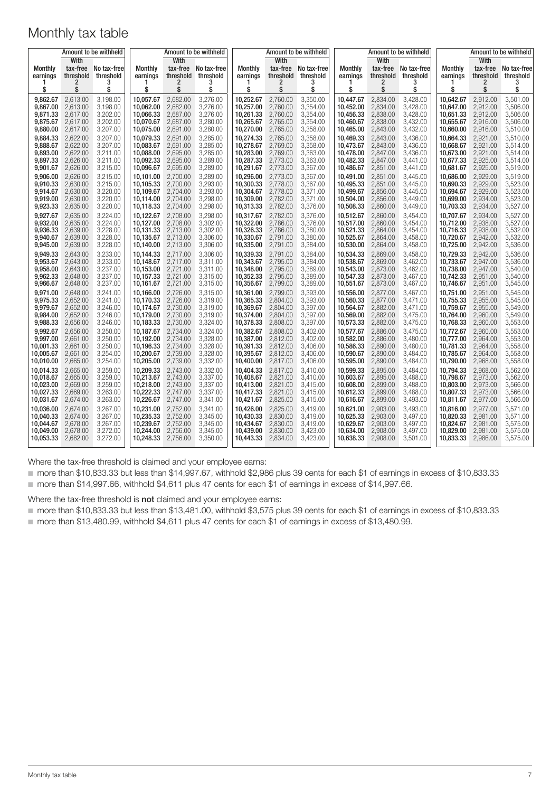|                          | Amount to be withheld                                 |                                     | Amount to be withheld          |                                          |                                     | Amount to be withheld          |                                          |                                     |                                       |                                          | Amount to be withheld               | Amount to be withheld          |                                          |                                |
|--------------------------|-------------------------------------------------------|-------------------------------------|--------------------------------|------------------------------------------|-------------------------------------|--------------------------------|------------------------------------------|-------------------------------------|---------------------------------------|------------------------------------------|-------------------------------------|--------------------------------|------------------------------------------|--------------------------------|
| Monthly<br>earnings<br>S | With<br>tax-free<br>threshold<br>$\overline{2}$<br>\$ | No tax-free<br>threshold<br>3<br>\$ | Monthly<br>earnings<br>1<br>\$ | With<br>tax-free<br>threshold<br>2<br>\$ | No tax-free<br>threshold<br>3<br>\$ | Monthly<br>earnings<br>в<br>\$ | With<br>tax-free<br>threshold<br>2<br>\$ | No tax-free<br>threshold<br>3<br>\$ | <b>Monthly</b><br>earnings<br>1<br>\$ | With<br>tax-free<br>threshold<br>2<br>\$ | No tax-free<br>threshold<br>3<br>\$ | Monthly<br>earnings<br>ı<br>\$ | With<br>tax-free<br>threshold<br>2<br>\$ | No tax-free<br>threshold<br>\$ |
| 9,862.67                 | 2,613.00                                              | 3,198.00                            | 10,057.67                      | 2,682.00                                 | 3,276.00                            | 10,252.67                      | 2,760.00                                 | 3,350.00                            | 10.447.67                             | 2,834.00                                 | 3,428.00                            | 10,642.67                      | 2,912.00                                 | 3,501.00                       |
| 9,867.00                 | 2.613.00                                              | 3,198.00                            | 10,062.00                      | 2,682.00                                 | 3,276.00                            | 10,257.00                      | 2,760.00                                 | 3,354.00                            | 10,452.00                             | 2,834.00                                 | 3,428.00                            | 10,647.00                      | 2,912.00                                 | 3.506.00                       |
| 9,871.33                 | 2,617.00                                              | 3,202.00                            | 10,066.33                      | 2,687.00                                 | 3,276.00                            | 10,261.33                      | 2,760.00                                 | 3,354.00                            | 10,456.33                             | 2,838.00                                 | 3,428.00                            | 10,651.33                      | 2,912.00                                 | 3,506.00                       |
| 9,875.67                 | 2,617.00                                              | 3,202.00                            | 10,070.67                      | 2,687.00                                 | 3,280.00                            | 10,265.67                      | 2,765.00                                 | 3,354.00                            | 10,460.67                             | 2,838.00                                 | 3,432.00                            | 10,655.67                      | 2,916.00                                 | 3,506.00                       |
| 9,880.00                 | 2,617.00                                              | 3,207.00                            | 10,075.00                      | 2,691.00                                 | 3,280.00                            | 10,270.00                      | 2,765.00                                 | 3,358.00                            | 10,465.00                             | 2,843.00                                 | 3,432.00                            | 10,660.00                      | 2,916.00                                 | 3,510.00                       |
| 9,884.33                 | 2,622.00                                              | 3,207.00                            | 10,079.33                      | 2,691.00                                 | 3,285.00                            | 10,274.33                      | 2,765.00                                 | 3,358.00                            | 10,469.33                             | 2,843.00                                 | 3,436.00                            | 10,664.33                      | 2,921.00                                 | 3,510.00                       |
| 9,888.67                 | 2,622.00                                              | 3,207.00                            | 10,083.67                      | 2,691.00                                 | 3,285.00                            | 10,278.67                      | 2,769.00                                 | 3,358.00                            | 10,473.67                             | 2,843.00                                 | 3,436.00                            | 10,668.67                      | 2,921.00                                 | 3,514.00                       |
| 9,893.00                 | 2,622.00                                              | 3,211.00                            | 10,088.00                      | 2,695.00                                 | 3,285.00                            | 10,283.00                      | 2,769.00                                 | 3,363.00                            | 10,478.00                             | 2,847.00                                 | 3,436.00                            | 10,673.00                      | 2,921.00                                 | 3,514.00                       |
| 9,897.33                 | 2,626.00                                              | 3,211.00                            | 10,092.33                      | 2,695.00                                 | 3,289.00                            | 10,287.33                      | 2,773.00                                 | 3,363.00                            | 10,482.33                             | 2,847.00                                 | 3,441.00                            | 10,677.33                      | 2,925.00                                 | 3,514.00                       |
| 9,901.67                 | 2,626.00                                              | 3,215.00                            | 10,096.67                      | 2,695.00                                 | 3,289.00                            | 10,291.67                      | 2,773.00                                 | 3,367.00                            | 10,486.67                             | 2,851.00                                 | 3,441.00                            | 10,681.67                      | 2,925.00                                 | 3,519.00                       |
| 9,906.00                 | 2,626.00                                              | 3,215.00                            | 10,101.00                      | 2,700.00                                 | 3,289.00                            | 10,296.00                      | 2,773.00                                 | 3,367.00                            | 10,491.00                             | 2,851.00                                 | 3,445.00                            | 10,686.00                      | 2,929.00                                 | 3,519.00                       |
| 9,910.33                 | 2,630.00                                              | 3,215.00                            | 10,105.33                      | 2,700.00                                 | 3,293.00                            | 10,300.33                      | 2,778.00                                 | 3,367.00                            | 10,495.33                             | 2,851.00                                 | 3,445.00                            | 10,690.33                      | 2,929.00                                 | 3,523.00                       |
| 9,914.67                 | 2,630.00                                              | 3,220.00                            | 10,109.67                      | 2,704.00                                 | 3,293.00                            | 10,304.67                      | 2,778.00                                 | 3,371.00                            | 10,499.67                             | 2,856.00                                 | 3,445.00                            | 10,694.67                      | 2,929.00                                 | 3,523.00                       |
| 9,919.00                 | 2,630.00                                              | 3,220.00                            | 10,114.00                      | 2,704.00                                 | 3,298.00                            | 10,309.00                      | 2,782.00                                 | 3,371.00                            | 10,504.00                             | 2,856.00                                 | 3,449.00                            | 10,699.00                      | 2,934.00                                 | 3,523.00                       |
| 9,923.33                 | 2,635.00                                              | 3,220.00                            | 10,118.33                      | 2,704.00                                 | 3,298.00                            | 10,313.33                      | 2,782.00                                 | 3,376.00                            | 10,508.33                             | 2,860.00                                 | 3,449.00                            | 10,703.33                      | 2,934.00                                 | 3,527.00                       |
| 9,927.67                 | 2,635.00                                              | 3,224.00                            | 10,122.67                      | 2,708.00                                 | 3,298.00                            | 10,317.67                      | 2,782.00                                 | 3,376.00                            | 10,512.67                             | 2,860.00                                 | 3,454.00                            | 10,707.67                      | 2,934.00                                 | 3,527.00                       |
| 9,932.00                 | 2,635.00                                              | 3,224.00                            | 10,127.00                      | 2,708.00                                 | 3,302.00                            | 10,322.00                      | 2,786.00                                 | 3,376.00                            | 10,517.00                             | 2,860.00                                 | 3,454.00                            | 10,712.00                      | 2,938.00                                 | 3,527.00                       |
| 9,936.33                 | 2,639.00                                              | 3,228.00                            | 10,131.33                      | 2,713.00                                 | 3,302.00                            | 10,326.33                      | 2,786.00                                 | 3,380.00                            | 10,521.33                             | 2,864.00                                 | 3,454.00                            | 10,716.33                      | 2,938.00                                 | 3,532.00                       |
| 9.940.67                 | 2.639.00                                              | 3,228.00                            | 10.135.67                      | 2.713.00                                 | 3,306.00                            | 10.330.67                      | 2,791.00                                 | 3,380.00                            | 10.525.67                             | 2.864.00                                 | 3,458.00                            | 10.720.67                      | 2,942.00                                 | 3,532.00                       |
| 9,945.00                 | 2,639.00                                              | 3,228.00                            | 10,140.00                      | 2,713.00                                 | 3,306.00                            | 10,335.00                      | 2,791.00                                 | 3,384.00                            | 10,530.00                             | 2,864.00                                 | 3,458.00                            | 10,725.00                      | 2,942.00                                 | 3,536.00                       |
| 9,949.33                 | 2,643.00                                              | 3,233.00                            | 10,144.33                      | 2,717.00                                 | 3,306.00                            | 10,339.33                      | 2,791.00                                 | 3,384.00                            | 10,534.33                             | 2,869.00                                 | 3,458.00                            | 10,729.33                      | 2,942.00                                 | 3,536.00                       |
| 9,953.67                 | 2,643.00                                              | 3,233.00                            | 10,148.67                      | 2,717.00                                 | 3,311.00                            | 10,343.67                      | 2,795.00                                 | 3,384.00                            | 10,538.67                             | 2,869.00                                 | 3,462.00                            | 10,733.67                      | 2,947.00                                 | 3,536.00                       |
| 9.958.00                 | 2.643.00                                              | 3,237.00                            | 10,153.00                      | 2,721.00                                 | 3,311.00                            | 10,348.00                      | 2,795.00                                 | 3,389.00                            | 10,543.00                             | 2,873.00                                 | 3,462.00                            | 10,738.00                      | 2,947.00                                 | 3,540.00                       |
| 9,962.33                 | 2,648.00                                              | 3,237.00                            | 10.157.33                      | 2,721.00                                 | 3,315.00                            | 10,352.33                      | 2,795.00                                 | 3,389.00                            | 10.547.33                             | 2,873.00                                 | 3,467.00                            | 10,742.33                      | 2,951.00                                 | 3,540.00                       |
| 9,966.67                 | 2,648.00                                              | 3,237.00                            | 10,161.67                      | 2,721.00                                 | 3,315.00                            | 10,356.67                      | 2,799.00                                 | 3,389.00                            | 10,551.67                             | 2,873.00                                 | 3,467.00                            | 10,746.67                      | 2,951.00                                 | 3,545.00                       |
| 9,971.00                 | 2,648.00                                              | 3,241.00                            | 10,166.00                      | 2,726.00                                 | 3,315.00                            | 10,361.00                      | 2,799.00                                 | 3,393.00                            | 10,556.00                             | 2,877.00                                 | 3,467.00                            | 10,751.00                      | 2,951.00                                 | 3,545.00                       |
| 9.975.33                 | 2.652.00                                              | 3,241.00                            | 10,170.33                      | 2,726.00                                 | 3,319.00                            | 10,365.33                      | 2,804.00                                 | 3,393.00                            | 10,560.33                             | 2.877.00                                 | 3,471.00                            | 10,755.33                      | 2.955.00                                 | 3,545.00                       |
| 9.979.67                 | 2,652.00                                              | 3,246.00                            | 10,174.67                      | 2,730.00                                 | 3,319.00                            | 10,369.67                      | 2,804.00                                 | 3,397.00                            | 10,564.67                             | 2,882.00                                 | 3,471.00                            | 10,759.67                      | 2,955.00                                 | 3,549.00                       |
| 9,984.00                 | 2,652.00                                              | 3,246.00                            | 10,179.00                      | 2,730.00                                 | 3,319.00                            | 10,374.00                      | 2,804.00                                 | 3,397.00                            | 10,569.00                             | 2,882.00                                 | 3,475.00                            | 10,764.00                      | 2,960.00                                 | 3,549.00                       |
| 9,988.33                 | 2,656.00                                              | 3,246.00                            | 10,183.33                      | 2,730.00                                 | 3,324.00                            | 10,378.33                      | 2,808.00                                 | 3,397.00                            | 10,573.33                             | 2,882.00                                 | 3,475.00                            | 10,768.33                      | 2,960.00                                 | 3,553.00                       |
| 9,992.67                 | 2,656.00                                              | 3,250.00                            | 10,187.67                      | 2,734.00                                 | 3,324.00                            | 10,382.67                      | 2,808.00                                 | 3,402.00                            | 10,577.67                             | 2,886.00                                 | 3,475.00                            | 10,772.67                      | 2,960.00                                 | 3,553.00                       |
| 9,997.00                 | 2,661.00                                              | 3,250.00                            | 10,192.00                      | 2,734.00                                 | 3,328.00                            | 10,387.00                      | 2,812.00                                 | 3,402.00                            | 10,582.00                             | 2,886.00                                 | 3,480.00                            | 10,777.00                      | 2,964.00                                 | 3,553.00                       |
| 10,001.33                | 2,661.00                                              | 3,250.00                            | 10,196.33                      | 2,734.00                                 | 3,328.00                            | 10,391.33                      | 2,812.00                                 | 3,406.00                            | 10,586.33                             | 2,890.00                                 | 3,480.00                            | 10,781.33                      | 2,964.00                                 | 3,558.00                       |
| 10,005.67                | 2,661.00                                              | 3,254.00                            | 10,200.67                      | 2,739.00                                 | 3,328.00                            | 10,395.67                      | 2,812.00                                 | 3,406.00                            | 10,590.67                             | 2,890.00                                 | 3,484.00                            | 10,785.67                      | 2,964.00                                 | 3,558.00                       |
| 10,010.00                | 2,665.00                                              | 3,254.00                            | 10,205.00                      | 2,739.00                                 | 3,332.00                            | 10,400.00                      | 2,817.00                                 | 3,406.00                            | 10,595.00                             | 2,890.00                                 | 3,484.00                            | 10,790.00                      | 2,968.00                                 | 3,558.00                       |
| 10,014.33                | 2,665.00                                              | 3,259.00                            | 10,209.33                      | 2,743.00                                 | 3,332.00                            | 10,404.33                      | 2,817.00                                 | 3.410.00                            | 10,599.33                             | 2,895.00                                 | 3,484.00                            | 10,794.33                      | 2,968.00                                 | 3,562.00                       |
| 10,018.67                | 2,665.00                                              | 3,259.00                            | 10,213.67                      | 2,743.00                                 | 3,337.00                            | 10,408.67                      | 2,821.00                                 | 3,410.00                            | 10.603.67                             | 2,895.00                                 | 3,488.00                            | 10,798.67                      | 2,973.00                                 | 3,562.00                       |
| 10,023.00                | 2,669.00                                              | 3,259.00                            | 10,218.00                      | 2,743.00                                 | 3,337.00                            | 10,413.00                      | 2,821.00                                 | 3,415.00                            | 10,608.00                             | 2,899.00                                 | 3,488.00                            | 10,803.00                      | 2,973.00                                 | 3,566.00                       |
| 10,027.33                | 2,669.00                                              | 3,263.00                            | 10,222.33                      | 2,747.00                                 | 3,337.00                            | 10,417.33                      | 2,821.00                                 | 3,415.00                            | 10.612.33                             | 2,899.00                                 | 3,488.00                            | 10,807.33                      | 2,973.00                                 | 3,566.00                       |
| 10,031.67                | 2,674.00                                              | 3,263.00                            | 10,226.67                      | 2,747.00                                 | 3,341.00                            | 10,421.67                      | 2,825.00                                 | 3,415.00                            | 10,616.67                             | 2,899.00                                 | 3,493.00                            | 10,811.67                      | 2,977.00                                 | 3,566.00                       |
| 10,036.00                | 2,674.00                                              | 3,267.00                            | 10,231.00                      | 2,752.00                                 | 3,341.00                            | 10,426.00                      | 2,825.00                                 | 3,419.00                            | 10,621.00                             | 2,903.00                                 | 3,493.00                            | 10,816.00                      | 2,977.00                                 | 3,571.00                       |
| 10,040.33                | 2,674.00                                              | 3,267.00                            | 10,235.33                      | 2,752.00                                 | 3,345.00                            | 10,430.33                      | 2,830.00                                 | 3,419.00                            | 10,625.33                             | 2,903.00                                 | 3,497.00                            | 10,820.33                      | 2,981.00                                 | 3,571.00                       |
| 10,044.67                | 2,678.00                                              | 3,267.00                            | 10,239.67                      | 2,752.00                                 | 3,345.00                            | 10,434.67                      | 2,830.00                                 | 3,419.00                            | 10,629.67                             | 2,903.00                                 | 3,497.00                            | 10,824.67                      | 2,981.00                                 | 3,575.00                       |
| 10,049.00                | 2,678.00                                              | 3,272.00                            | 10,244.00                      | 2,756.00                                 | 3,345.00                            | 10,439.00                      | 2,830.00                                 | 3,423.00                            | 10,634.00                             | 2,908.00                                 | 3,497.00                            | 10,829.00                      | 2,981.00                                 | 3,575.00                       |
| 10,053.33                | 2,682.00                                              | 3,272.00                            | 10,248.33                      | 2,756.00                                 | 3,350.00                            | 10,443.33                      | 2,834.00                                 | 3,423.00                            | 10,638.33                             | 2,908.00                                 | 3,501.00                            | 10,833.33                      | 2,986.00                                 | 3,575.00                       |

Where the tax-free threshold is claimed and your employee earns:

■ more than \$10,833.33 but less than \$14,997.67, withhold \$2,986 plus 39 cents for each \$1 of earnings in excess of \$10,833.33 ■ more than \$14,997.66, withhold \$4,611 plus 47 cents for each \$1 of earnings in excess of \$14,997.66.

Where the tax-free threshold is not claimed and your employee earns:

■ more than \$10,833.33 but less than \$13,481.00, withhold \$3,575 plus 39 cents for each \$1 of earnings in excess of \$10,833.33

■ more than \$13,480.99, withhold \$4,611 plus 47 cents for each \$1 of earnings in excess of \$13,480.99.